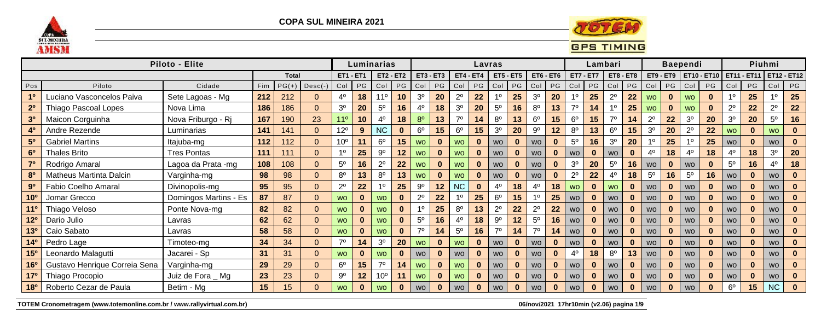

**COPA SUL MINEIRA 2021** 



## **GPS TIMING**

|                       |                               | Piloto - Elite        |     |              |           |                  |    | Luminarias       |              |                |             |                |              | Lavras           |          |                |                 |                |                  | Lambari        |              |                |          | <b>Baependi</b> |                                       |                |              | Piuhmi         |                    |
|-----------------------|-------------------------------|-----------------------|-----|--------------|-----------|------------------|----|------------------|--------------|----------------|-------------|----------------|--------------|------------------|----------|----------------|-----------------|----------------|------------------|----------------|--------------|----------------|----------|-----------------|---------------------------------------|----------------|--------------|----------------|--------------------|
|                       |                               |                       |     | <b>Total</b> |           | <b>ET1 - ET1</b> |    | <b>ET2 - ET2</b> |              |                | $ET3 - ET3$ |                | $ET4 - ET4$  | <b>ET5 - ET5</b> |          |                | $ET6 - ET6$     |                | <b>ET7 - ET7</b> | $ET8 - ET8$    |              |                |          |                 | ET9 - ET9   ET10 - ET10   ET11 - ET11 |                |              |                | <b>ET12 - ET12</b> |
| Pos                   | Piloto                        | Cidade                | Fim | $PG(+)$      | $Desc(-)$ | Col              | PG | Col              | PG           | Col            | PG          | Col            | $PG$ $Col$   |                  | PG       | Col            | $PG$ $Col$      |                | PG               | Col            | PG           | Col            | PG Col   |                 | PG                                    | Col            | PG           | Col            | PG                 |
| 1 <sup>0</sup>        | Luciano Vasconcelos Paiva     | Sete Lagoas - Mg      | 212 | 212          | 0         | $4^{\circ}$      | 18 | $11^{\circ}$     | 10           | 3 <sup>o</sup> | <b>20</b>   | $2^{\circ}$    | 22           | $1^{\circ}$      | 25       | 3 <sup>o</sup> | 20              |                | 25               | $2^{\circ}$    | 22           | <b>WO</b>      | $\bf{0}$ | <b>WO</b>       | $\bf{0}$                              | 10             | 25           | 10             | 25                 |
| 2 <sup>0</sup>        | <b>Thiago Pascoal Lopes</b>   | Nova Lima             | 186 | 186          | 0         | 3 <sup>o</sup>   | 20 | $5^{\circ}$      | 16           | $4^{\circ}$    | 18          | 3 <sup>o</sup> | 20           | $5^{\circ}$      | 16       | $8^{\circ}$    | 13              |                | 14               |                | 25           | <b>WO</b>      | $\bf{0}$ | <b>WO</b>       |                                       | $2^{\circ}$    | 22           | $2^{\circ}$    | 22                 |
| 3 <sup>0</sup>        | Maicon Corguinha              | Nova Friburgo - Rj    | 167 | 190          | 23        | 11 <sup>°</sup>  | 10 | $4^{\circ}$      | 18           | 8 <sup>o</sup> | 13          | 70             | 14           | $8^{\circ}$      | 13       | $6^{\circ}$    | 15 <sub>1</sub> | $6^{\circ}$    | 15               | 70             | 14           | $2^{\circ}$    | 22       | 3 <sup>o</sup>  | <b>20</b>                             | 3 <sup>0</sup> | 20           | $5^{\circ}$    | 16                 |
| 4 <sup>0</sup>        | Andre Rezende                 | Luminarias            | 141 | 141          | 0         | $12^{\circ}$     |    | <b>NC</b>        | $\bf{0}$     | 6 <sup>o</sup> | 15          | $6^{\circ}$    | 15           | 3 <sup>o</sup>   | 20       | $9^{\circ}$    | 12              | 8 <sup>0</sup> | 13               | $6^{\circ}$    | 15           | 3 <sup>o</sup> | 20       | $2^{\circ}$     | 22                                    | <b>WO</b>      | $\bf{0}$     | <b>WO</b>      |                    |
| 5 <sup>0</sup>        | <b>Gabriel Martins</b>        | Itajuba-mg            | 112 | 112          | 0         | 10 <sup>o</sup>  |    | 6 <sup>o</sup>   | 15           | <b>WO</b>      | $\bf{0}$    | <b>WO</b>      | $\bf{0}$     | <b>WO</b>        | $\bf{0}$ | <b>WO</b>      | $\mathbf{0}$    | 5 <sup>0</sup> | 16               | 3 <sup>o</sup> | 20           | 10             | 25       | -10             | 25                                    | <b>WO</b>      | $\bf{0}$     | <b>WO</b>      |                    |
| 6 <sup>o</sup>        | <b>Thales Brito</b>           | <b>Tres Pontas</b>    | 111 | 111          | 0         | 10               | 25 | 9º               | 12           | <b>WO</b>      |             | <b>WO</b>      | $\bf{0}$     | <b>WO</b>        | $\bf{0}$ | <b>WO</b>      | $\bf{0}$        | <b>WO</b>      | $\bf{0}$         | <b>WO</b>      | $\bf{0}$     | 4º             | 18       |                 | 18                                    |                | 18           | 3 <sup>o</sup> | 20                 |
| 7 <sup>0</sup>        | Rodrigo Amaral                | Lagoa da Prata -mg    | 108 | 108          | $\Omega$  | $5^{\circ}$      | 16 | $2^{\circ}$      | 22           | <b>WO</b>      |             | <b>WO</b>      | $\mathbf{0}$ | <b>WO</b>        | $\bf{0}$ | <b>WO</b>      | $\mathbf{0}$    | 3 <sup>o</sup> | <b>20</b>        | $5^{\circ}$    | 16           | <b>WO</b>      | $\bf{0}$ | <b>WO</b>       |                                       | $5^{\circ}$    | 16           | $4^{\circ}$    | 18                 |
| 80                    | Matheus Martinta Dalcin       | Varginha-mg           | 98  | 98           | $\Omega$  | 8 <sup>o</sup>   | 13 | 8 <sup>o</sup>   | 13           | <b>WO</b>      |             | <b>WO</b>      | $\bf{0}$     | <b>WO</b>        | $\bf{0}$ | <b>WO</b>      | $\bf{0}$        | $2^{\circ}$    | 22               | 4 <sup>0</sup> | 18           | $5^{\circ}$    | 16       | $5^{\circ}$     | 16                                    | <b>WO</b>      | $\mathbf{0}$ | <b>WO</b>      |                    |
| 9 <sup>o</sup>        | Fabio Coelho Amaral           | Divinopolis-mg        | 95  | 95           | 0         | $2^{\circ}$      | 22 | 10               | 25           | $9^{\circ}$    | $12 \,$     | <b>NC</b>      | $\mathbf{0}$ | 4 <sup>0</sup>   | 18       | $4^{\circ}$    | 18              | <b>WO</b>      | $\bf{0}$         | <b>WO</b>      | $\bf{0}$     | <b>WO</b>      | $\bf{0}$ | <b>WO</b>       |                                       | <b>WO</b>      | $\bf{0}$     | <b>WO</b>      |                    |
| 10 <sup>o</sup>       | Jomar Grecco                  | Domingos Martins - Es | 87  | 87           | $\Omega$  | <b>WO</b>        |    | <b>WO</b>        | $\bf{0}$     | $2^{\circ}$    | 22          | 10             | 25           | $6^{\circ}$      | 15       | 10             | 25              | <b>WO</b>      | $\bf{0}$         | <b>WO</b>      | $\bf{0}$     | <b>WO</b>      | $\bf{0}$ | <b>WO</b>       |                                       | <b>WO</b>      | $\bf{0}$     | <b>WO</b>      |                    |
| 11 <sup>0</sup>       | Thiago Veloso                 | Ponte Nova-mg         | 82  | 82           | 0         | <b>WO</b>        |    | <b>WO</b>        | $\bf{0}$     |                | 25          | $8^{\circ}$    | 13           | $2^{\circ}$      | 22       | $2^{\circ}$    | 22              | <b>WO</b>      | $\bf{0}$         | <b>WO</b>      | $\bf{0}$     | <b>WO</b>      | 0        | <b>WO</b>       |                                       | <b>WO</b>      | $\bf{0}$     | <b>WO</b>      |                    |
| 12 <sup>o</sup>       | Dario Julio                   | Lavras                | 62  | 62           | $\Omega$  | <b>WO</b>        |    | <b>WO</b>        | $\mathbf{0}$ | $5^{\circ}$    | 16          | $4^{\circ}$    | 18           | $9^{\circ}$      | 12       | $5^{\circ}$    | 16              | <b>WO</b>      | $\bf{0}$         | <b>WO</b>      | $\bf{0}$     | <b>WO</b>      | $\bf{0}$ | <b>WO</b>       |                                       | <b>WO</b>      | $\bf{0}$     | <b>WO</b>      |                    |
| 13 <sup>0</sup>       | Caio Sabato                   | Lavras                | 58  | 58           | $\Omega$  | <b>WO</b>        |    | <b>WO</b>        | $\bf{0}$     | 70             | 14          | $5^{\circ}$    | 16           | 70               | 14       | $7^\circ$      | 14 <sub>1</sub> | <b>WO</b>      | $\bf{0}$         | <b>WO</b>      | $\bf{0}$     | <b>WO</b>      | 0        | <b>WO</b>       |                                       | <b>WO</b>      |              | <b>WO</b>      |                    |
| 14 <sup>o</sup>       | Pedro Lage                    | Timoteo-mg            | 34  | 34           | $\Omega$  | 70               | 14 | 3 <sup>0</sup>   | 20           | <b>WO</b>      |             | <b>WO</b>      | $\bf{0}$     | <b>WO</b>        | $\bf{0}$ | <b>WO</b>      | $\bf{0}$        | <b>WO</b>      | $\bf{0}$         | <b>WO</b>      | $\mathbf{0}$ | <b>WO</b>      | $\bf{0}$ | <b>WO</b>       |                                       | <b>WO</b>      | $\bf{0}$     | <b>WO</b>      |                    |
| 15 <sup>o</sup>       | Leonardo Malagutti            | Jacarei - Sp          | 31  | 31           | $\Omega$  | <b>WO</b>        |    | <b>WO</b>        | $\bf{0}$     | <b>WO</b>      |             | <b>WO</b>      | $\bf{0}$     | <b>WO</b>        | $\bf{0}$ | <b>WO</b>      | $\bf{0}$        | 4 <sup>0</sup> | 18               | $8^{\circ}$    | 13           | <b>WO</b>      | 0        | <b>WO</b>       |                                       | <b>WO</b>      |              | <b>WO</b>      |                    |
| <b>16<sup>o</sup></b> | Gustavo Henrique Correia Sena | Varginha-mg           | 29  | 29           | 0         | 6 <sup>o</sup>   | 15 | 70               | 14           | <b>WO</b>      |             | <b>WO</b>      | $\mathbf{0}$ | <b>WO</b>        | $\bf{0}$ | <b>WO</b>      | 0               | <b>WO</b>      | $\bf{0}$         | <b>WO</b>      | $\bf{0}$     | <b>WO</b>      | $\bf{0}$ | <b>WO</b>       |                                       | <b>WO</b>      | $\bf{0}$     | <b>WO</b>      |                    |
| 17 <sup>o</sup>       | Thiago Procopio               | Juiz de Fora _ Mg     | 23  | 23           | $\Omega$  | $9^{\circ}$      | 12 | 10 <sup>o</sup>  | 11           | <b>WO</b>      |             | <b>WO</b>      | $\bf{0}$     | <b>WO</b>        | $\bf{0}$ | <b>WO</b>      |                 | <b>WO</b>      | $\bf{0}$         | <b>WO</b>      |              | <b>WO</b>      |          | <b>WO</b>       |                                       | <b>WO</b>      |              | <b>WO</b>      |                    |
| 180                   | Roberto Cezar de Paula        | Betim - Mg            | 15  | 15           | $\Omega$  | <b>WO</b>        |    | <b>WO</b>        | $\bf{0}$     | <b>WO</b>      |             | <b>WO</b>      | $\bf{0}$     | <b>WO</b>        |          | <b>WO</b>      |                 | WO.            | $\bf{0}$         | <b>WO</b>      |              | <b>WO</b>      |          | <b>WO</b>       |                                       | $6^{\circ}$    | 15           | <b>NC</b>      |                    |

TOTEM Cronometragem (www.totemonline.com.br / www.rallyvirtual.com.br)

06/nov/2021 17hr10min (v2.06) pagina 1/9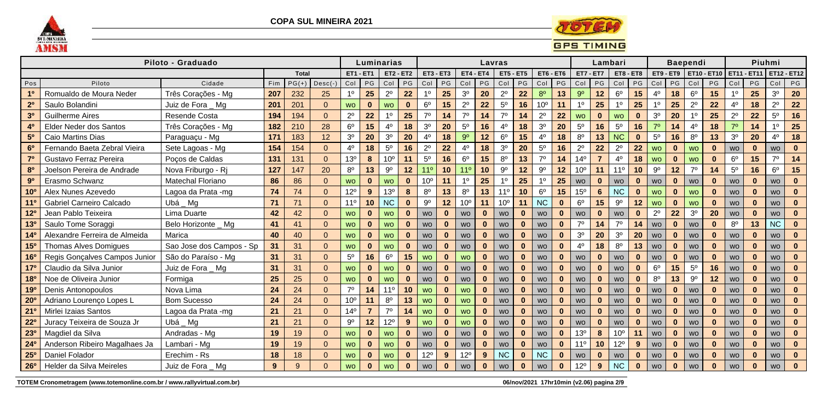



|                 |                               | Piloto - Graduado        |     |              |                 |                  |                 | Luminarias       |              |                  |              |                 |                  | Lavras           |              |                  |              |                 | Lambari          |                  |              |                |                  | <b>Baependi</b> |                    |                |              | Piuhmi         |    |
|-----------------|-------------------------------|--------------------------|-----|--------------|-----------------|------------------|-----------------|------------------|--------------|------------------|--------------|-----------------|------------------|------------------|--------------|------------------|--------------|-----------------|------------------|------------------|--------------|----------------|------------------|-----------------|--------------------|----------------|--------------|----------------|----|
|                 |                               |                          |     | <b>Total</b> |                 | <b>ET1 - ET1</b> |                 | <b>ET2 - ET2</b> |              | <b>ET3 - ET3</b> |              |                 | <b>ET4 - ET4</b> | <b>ET5 - ET5</b> |              | <b>ET6 - ET6</b> |              |                 | <b>ET7 - ET7</b> | <b>ET8 - ET8</b> |              |                | <b>ET9 - ET9</b> |                 | <b>ET10 - ET10</b> |                | ET11 - ET11  | ET12 - ET12    |    |
| Pos             | Piloto                        | Cidade                   | Fim | $PG(+)$      | $\vert$ Desc(-) | Col              | PG              | Col              | PG           | Col              | PG           | Col             | PG               | Col              | PG           | Col              | $P$ G        | Col             | PG               | Col              | P G          | Col            | PG               | Col             | PG                 | Col            | PG           | Col            | PG |
| 1 <sup>0</sup>  | Romualdo de Moura Neder       | Três Corações - Mg       | 207 | 232          | 25              | 1 <sup>0</sup>   | 25              | $2^{\circ}$      | 22           | 10               | 25           | 3 <sup>0</sup>  | 20               | $2^{\circ}$      | 22           | 8 <sup>o</sup>   | 13           | 9 <sup>o</sup>  | 12               | $6^{\circ}$      | 15           | $4^{\circ}$    | 18               | 6 <sup>o</sup>  | 15                 | 1 <sup>0</sup> | 25           | 3 <sup>0</sup> | 20 |
| 2 <sup>0</sup>  | Saulo Bolandini               | Juiz de Fora Mg          | 201 | 201          |                 | <b>WO</b>        | $\mathbf{0}$    | <b>WO</b>        | $\bf{0}$     | $6^{\circ}$      | 15           | $2^{\circ}$     | 22               | $5^{\rm o}$      | 16           | 10 <sup>o</sup>  | 11           | 1 <sup>0</sup>  | 25               | 1 <sup>0</sup>   | 25           | $1^{\circ}$    | 25               | $2^{\circ}$     | 22                 | $4^{\circ}$    | 18           | $2^{\circ}$    | 22 |
| 3 <sup>o</sup>  | <b>Guilherme Aires</b>        | Resende Costa            | 194 | 194          |                 | $2^{\circ}$      | 22              | 1 <sup>0</sup>   | 25           | $7^\circ$        | 14           | 70              | 14               | 70               | 14           | $2^{\circ}$      | 22           | <b>WO</b>       | $\mathbf{0}$     | <b>WO</b>        | $\bf{0}$     | 3 <sup>o</sup> | 20               | 1 <sup>0</sup>  | 25                 | $2^{\circ}$    | 22           | $5^{\circ}$    | 16 |
| 4 <sup>0</sup>  | Elder Neder dos Santos        | Três Corações - Mg       | 182 | 210          | 28              | $6^{\circ}$      | 15              | 4 <sup>0</sup>   | 18           | 3 <sup>0</sup>   | 20           | $5^{\circ}$     | 16               | 4 <sup>0</sup>   | 18           | 3 <sup>o</sup>   | 20           | $5^{\circ}$     | 16               | $5^{\rm o}$      | 16           | $7^\circ$      | 14               | 40              | 18                 | 7 <sup>0</sup> | 14           | 1 <sup>0</sup> | 25 |
| 5 <sup>0</sup>  | Caio Martins Dias             | Paraguaçu - Mg           | 171 | 183          | 12              | 3 <sup>o</sup>   | 20              | 3 <sup>0</sup>   | 20           | $4^{\circ}$      | 18           | 9 <sup>o</sup>  | 12               | $6^{\circ}$      | 15           | $4^{\circ}$      | 18           | $8^{\circ}$     | 13               | <b>NC</b>        | $\mathbf{0}$ | $5^{\rm o}$    | 16               | $8^{\circ}$     | 13                 | 3 <sup>o</sup> | 20           | 40             | 18 |
| 6 <sup>o</sup>  | Fernando Baeta Zebral Vieira  | Sete Lagoas - Mg         | 154 | 154          | $\Omega$        | 4 <sup>0</sup>   | 18              | $5^{\rm o}$      | 16           | $2^{\circ}$      | 22           | 4 <sup>0</sup>  | 18               | 3 <sup>0</sup>   | 20           | $5^{\circ}$      | 16           | $2^{\circ}$     | 22               | $2^{\circ}$      | 22           | <b>WO</b>      | $\bf{0}$         | <b>WO</b>       | $\mathbf{0}$       | <b>WO</b>      | $\bf{0}$     | <b>WO</b>      |    |
| 7 <sup>o</sup>  | Gustavo Ferraz Pereira        | Poços de Caldas          | 131 | 131          |                 | 13 <sup>o</sup>  | 8               | 10°              | 11           | $5^{\circ}$      | 16           | 6 <sup>o</sup>  | 15               | $8^{\circ}$      | 13           | $7^\circ$        | 14           | 14 <sup>°</sup> |                  | $4^{\circ}$      | 18           | <b>WO</b>      | $\bf{0}$         | <b>WO</b>       | $\mathbf{0}$       | $6^{\circ}$    | 15           | 70             | 14 |
| 8 <sup>0</sup>  | Joelson Pereira de Andrade    | Nova Friburgo - Ri       | 127 | 147          | 20              | $8^{\circ}$      | 13              | $9^{\circ}$      | 12           | 11 <sup>0</sup>  | 10           | 11 <sup>0</sup> | 10               | $9^{\circ}$      | 12           | $9^{\rm o}$      | 12           | 10 <sup>o</sup> | 11               | $11^{\circ}$     | 10           | $9^{\circ}$    | 12               | $7^\circ$       | 14                 | $5^{\circ}$    | 16           | $6^{\circ}$    | 15 |
| 9 <sup>o</sup>  | Erasmo Schwanz                | <b>Matechal Floriano</b> | 86  | 86           |                 | <b>WO</b>        | $\mathbf{0}$    | <b>WO</b>        | $\bf{0}$     | 10 <sup>o</sup>  | 11           | 1 <sup>0</sup>  | 25               | 1 <sup>0</sup>   | 25           | 1 <sup>0</sup>   | 25           | <b>WO</b>       | $\mathbf{0}$     | <b>WO</b>        | $\bf{0}$     | <b>WO</b>      | $\mathbf{0}$     | <b>WO</b>       | $\mathbf{0}$       | <b>WO</b>      | $\bf{0}$     | <b>WO</b>      |    |
| 10 <sup>o</sup> | Alex Nunes Azevedo            | Lagoa da Prata -mg       | 74  | 74           |                 | $12^{\circ}$     | 9               | 13 <sup>o</sup>  | 8            | $8^{\circ}$      | 13           | 8 <sup>0</sup>  | 13               | $11^{\circ}$     | 10           | $6^{\circ}$      | 15           | 15 <sup>o</sup> | $6\phantom{1}$   | <b>NC</b>        | $\bf{0}$     | <b>WO</b>      | $\bf{0}$         | <b>WO</b>       | $\mathbf{0}$       | <b>WO</b>      | $\bf{0}$     | <b>WO</b>      |    |
| $11^{\circ}$    | Gabriel Carneiro Calcado      | Ubá Mg                   | 71  | 71           | $\Omega$        | 11 <sup>0</sup>  | 10 <sub>1</sub> | <b>NC</b>        | $\bf{0}$     | $9^{\circ}$      | 12           | 10 <sup>o</sup> | 11               | 10 <sup>o</sup>  | 11           | <b>NC</b>        | $\mathbf{0}$ | $6^{\circ}$     | 15               | $9^{\circ}$      | 12           | <b>WO</b>      | $\mathbf{0}$     | <b>WO</b>       | $\mathbf{0}$       | <b>WO</b>      | $\bf{0}$     | <b>WO</b>      |    |
| 12 <sup>o</sup> | Jean Pablo Teixeira           | Lima Duarte              | 42  | 42           |                 | <b>WO</b>        | $\mathbf{0}$    | <b>WO</b>        | $\bf{0}$     | <b>WO</b>        | $\bf{0}$     | <b>WO</b>       | $\bf{0}$         | <b>WO</b>        | $\mathbf{0}$ | <b>WO</b>        | $\bf{0}$     | <b>WO</b>       | $\bf{0}$         | <b>WO</b>        | $\mathbf{0}$ | $2^{\circ}$    | 22               | 3 <sup>o</sup>  | 20                 | <b>WO</b>      | $\bf{0}$     | <b>WO</b>      |    |
| 13 <sup>o</sup> | Saulo Tome Soraggi            | Belo Horizonte _ Mg      | 41  | 41           |                 | <b>WO</b>        | $\bf{0}$        | <b>WO</b>        | $\bf{0}$     | <b>WO</b>        | $\mathbf{0}$ | <b>WO</b>       | $\bf{0}$         | <b>WO</b>        | $\bf{0}$     | <b>WO</b>        | $\mathbf{0}$ | 70              | 14               | 70               | 14           | <b>WO</b>      | $\bf{0}$         | <b>WO</b>       | $\mathbf{0}$       | 8 <sup>0</sup> | 13           | <b>NC</b>      |    |
| 14 <sup>0</sup> | Alexandre Ferreira de Almeida | Marica                   | 40  | 40           |                 | <b>WO</b>        | $\bf{0}$        | <b>WO</b>        | $\bf{0}$     | <b>WO</b>        | $\mathbf{0}$ | <b>WO</b>       | $\mathbf{0}$     | <b>WO</b>        | $\bf{0}$     | <b>WO</b>        | $\mathbf{0}$ | 3 <sup>o</sup>  | 20               | 3 <sup>o</sup>   | 20           | <b>WO</b>      | $\bf{0}$         | <b>WO</b>       | $\mathbf{0}$       | <b>WO</b>      | $\bf{0}$     | <b>WO</b>      |    |
| 15 <sup>o</sup> | <b>Thomas Alves Domigues</b>  | Sao Jose dos Campos - Sp | 31  | 31           |                 | <b>WO</b>        | $\mathbf{0}$    | <b>WO</b>        | $\bf{0}$     | <b>WO</b>        | $\mathbf 0$  | <b>WO</b>       | $\bf{0}$         | <b>WO</b>        | $\bf{0}$     | <b>WO</b>        | $\mathbf 0$  | 4 <sup>0</sup>  | 18               | $8^{\circ}$      | 13           | <b>WO</b>      | $\mathbf 0$      | <b>WO</b>       | $\mathbf{0}$       | <b>WO</b>      | $\mathbf{0}$ | <b>WO</b>      |    |
| <b>16°</b>      | Regis Gonçalves Campos Junior | São do Paraíso - Mg      | 31  | 31           |                 | $5^{\circ}$      | 16              | 6 <sup>o</sup>   | 15           | <b>WO</b>        | $\mathbf{0}$ | <b>WO</b>       | $\mathbf{0}$     | <b>WO</b>        | $\mathbf{0}$ | <b>WO</b>        | $\mathbf{0}$ | <b>WO</b>       | $\bf{0}$         | <b>WO</b>        | $\mathbf 0$  | <b>WO</b>      | $\bf{0}$         | <b>WO</b>       | $\mathbf{0}$       | <b>WO</b>      | $\bf{0}$     | <b>WO</b>      |    |
| 17 <sup>o</sup> | Claudio da Silva Junior       | Juiz de Fora _ Mg        | 31  | 31           |                 | <b>WO</b>        | $\mathbf{0}$    | <b>WO</b>        | $\bf{0}$     | <b>WO</b>        | $\mathbf{0}$ | <b>WO</b>       | $\bf{0}$         | <b>WO</b>        | $\bf{0}$     | <b>WO</b>        | $\mathbf 0$  | <b>WO</b>       | $\bf{0}$         | <b>WO</b>        | $\mathbf{0}$ | 6 <sup>o</sup> | 15               | $5^{\circ}$     | 16                 | <b>WO</b>      | $\bf{0}$     | <b>WO</b>      |    |
| <b>18º</b>      | Noe de Oliveira Junior        | Formiga                  | 25  | 25           | $\Omega$        | <b>WO</b>        | $\bf{0}$        | <b>WO</b>        | $\bf{0}$     | <b>WO</b>        | $\mathbf 0$  | <b>WO</b>       | $\mathbf{0}$     | <b>WO</b>        | $\mathbf{0}$ | <b>WO</b>        | $\mathbf 0$  | <b>WO</b>       | $\bf{0}$         | <b>WO</b>        | $\mathbf{0}$ | $8^{\circ}$    | 13               | $9^{\rm o}$     | 12                 | <b>WO</b>      | $\bf{0}$     | <b>WO</b>      |    |
| <b>19º</b>      | Denis Antonopoulos            | Nova Lima                | 24  | 24           |                 | 70               | 14              | 11°              | 10           | <b>WO</b>        | $\mathbf{0}$ | <b>WO</b>       | $\bf{0}$         | WO               | $\bf{0}$     | <b>WO</b>        | $\mathbf{0}$ | <b>WO</b>       |                  | <b>WO</b>        | $\bf{0}$     | <b>WO</b>      | $\bf{0}$         | <b>WO</b>       | $\mathbf{0}$       | WO             | $\bf{0}$     | <b>WO</b>      |    |
| 20 <sup>o</sup> | Adriano Lourenço Lopes L      | <b>Bom Sucesso</b>       | 24  | 24           |                 | 10 <sup>o</sup>  | 11              | $8^{\circ}$      | 13           | <b>WO</b>        | $\mathbf{0}$ | <b>WO</b>       | $\mathbf{0}$     | <b>WO</b>        | $\bf{0}$     | <b>WO</b>        | $\mathbf{0}$ | <b>WO</b>       | $\mathbf{0}$     | <b>WO</b>        | $\mathbf{0}$ | <b>WO</b>      | $\bf{0}$         | <b>WO</b>       | $\mathbf{0}$       | WO             | $\mathbf{0}$ | <b>WO</b>      |    |
| 21°             | Mirlei Izaias Santos          | Lagoa da Prata -mg       | 21  | 21           |                 | 14 <sup>°</sup>  |                 | $7^\circ$        | 14           | <b>WO</b>        | $\mathbf{0}$ | <b>WO</b>       | $\mathbf{0}$     | <b>WO</b>        | $\bf{0}$     | <b>WO</b>        | $\mathbf{0}$ | <b>WO</b>       |                  | <b>WO</b>        | $\bf{0}$     | <b>WO</b>      | $\bf{0}$         | <b>WO</b>       | $\bf{0}$           | <b>WO</b>      | $\bf{0}$     | <b>WO</b>      |    |
| $22^{\circ}$    | Juracy Teixeira de Souza Jr   | Ubá Mg                   | 21  | 21           |                 | 90               | 12              | $12^{\circ}$     | 9            | <b>WO</b>        | $\mathbf{0}$ | <b>WO</b>       | $\bf{0}$         | <b>WO</b>        | $\bf{0}$     | <b>WO</b>        | $\mathbf{0}$ | <b>WO</b>       |                  | <b>WO</b>        | $\mathbf{0}$ | <b>WO</b>      | $\bf{0}$         | <b>WO</b>       | $\mathbf{0}$       | <b>WO</b>      | $\bf{0}$     | <b>WO</b>      |    |
| 230             | Magdiel da Silva              | Andradas - Mg            | 19  | 19           |                 | <b>WO</b>        | $\mathbf{0}$    | <b>WO</b>        | $\bf{0}$     | <b>WO</b>        | $\mathbf 0$  | <b>WO</b>       | $\bf{0}$         | <b>WO</b>        | $\mathbf{0}$ | <b>WO</b>        | $\mathbf 0$  | 13 <sup>o</sup> | 8                | 10 <sup>o</sup>  | 11           | <b>WO</b>      | $\bf{0}$         | <b>WO</b>       | $\mathbf{0}$       | <b>WO</b>      | $\bf{0}$     | <b>WO</b>      |    |
| 24 <sup>o</sup> | Anderson Ribeiro Magalhaes Ja | Lambari - Mg             | 19  | 19           |                 | <b>WO</b>        | $\bf{0}$        | <b>WO</b>        | $\bf{0}$     | <b>WO</b>        | $\bf{0}$     | <b>WO</b>       | $\bf{0}$         | <b>WO</b>        | $\bf{0}$     | <b>WO</b>        | $\mathbf{0}$ | 11 <sup>0</sup> | 10 <sub>1</sub>  | $12^{\circ}$     | 9            | <b>WO</b>      | $\bf{0}$         | <b>WO</b>       | $\mathbf{0}$       | <b>WO</b>      | $\bf{0}$     | <b>WO</b>      |    |
| 25 <sup>o</sup> | <b>Daniel Folador</b>         | Erechim - Rs             | 18  | 18           |                 | <b>WO</b>        | $\mathbf{0}$    | <b>WO</b>        | $\mathbf{0}$ | $12^{\circ}$     | 9            | $12^{\circ}$    | 9                | <b>NC</b>        | $\mathbf{0}$ | <b>NC</b>        | $\mathbf{0}$ | <b>WO</b>       | $\mathbf{0}$     | WO               | $\mathbf 0$  | WO             | $\bf{0}$         | <b>WO</b>       | $\mathbf{0}$       | WO             | $\mathbf{0}$ | <b>WO</b>      |    |
| <b>26°</b>      | Helder da Silva Meireles      | Juiz de Fora Mg          | 9   | 9            |                 | <b>WO</b>        | $\bf{0}$        | <b>WO</b>        | $\bf{0}$     | <b>WO</b>        | $\bf{0}$     | <b>WO</b>       |                  | <b>WO</b>        | $\bf{0}$     | <b>WO</b>        | $\mathbf{0}$ | 12°             | $9^{\circ}$      | <b>NC</b>        | $\bf{0}$     | <b>WO</b>      |                  | <b>WO</b>       |                    | <b>WO</b>      |              | <b>WO</b>      |    |

TOTEM Cronometragem (www.totemonline.com.br / www.rallyvirtual.com.br)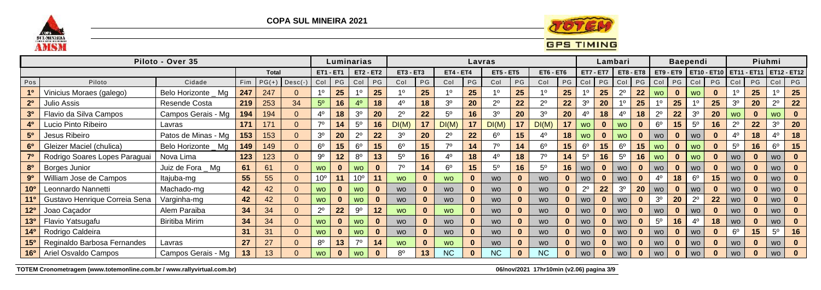



|                 |                               | Piloto - Over 35      |     |              |                 |                  | Luminarias |                 |              |                  |          |                  |                 | Lavras           |    |                |              |                  | Lambari     |                |                         |                |    | <b>Baependi</b> |                         |                |    | Piuhmi         |                           |
|-----------------|-------------------------------|-----------------------|-----|--------------|-----------------|------------------|------------|-----------------|--------------|------------------|----------|------------------|-----------------|------------------|----|----------------|--------------|------------------|-------------|----------------|-------------------------|----------------|----|-----------------|-------------------------|----------------|----|----------------|---------------------------|
|                 |                               |                       |     | <b>Total</b> |                 | <b>ET1 - ET1</b> |            |                 | $ET2 - ET2$  | <b>ET3 - ET3</b> |          | <b>ET4 - ET4</b> |                 | <b>ET5 - ET5</b> |    | $ET6 - ET6$    |              | <b>ET7 - ET7</b> |             |                | $ET8 - ET8$             |                |    |                 | ET9 - ET9   ET10 - ET10 |                |    |                | ET11 - ET11   ET12 - ET12 |
| Pos             | Piloto                        | Cidade                | Fim | $PG(+)$      | $\vert$ Desc(-) | Col              | <b>PG</b>  |                 | Col   PG     | Col              | PG       | Col              | PG              | Col              | PG | Col            |              | PG   Col         | PG          | Col            |                         | $PG$ $Col$     | PG | Col             | PG                      | Col            | PG | Col            | PG                        |
|                 | Vinicius Moraes (galego)      | Belo Horizonte _ Mg   | 247 | 247          | $\mathbf{0}$    | -10              | 25         |                 | 25           | 10               | 25       |                  | 25              | 10               | 25 |                | 25           |                  | 25          | $2^{\circ}$    | 22                      | <b>WO</b>      |    | <b>WO</b>       | $\mathbf{0}$            |                | 25 |                | 25                        |
|                 | Julio Assis                   | Resende Costa         | 219 | 253          | 34              | 5 <sup>o</sup>   | 16         |                 | 18           | $4^{\circ}$      | 18       | 3 <sup>o</sup>   | 20              | $2^{\circ}$      | 22 | $2^{\circ}$    | 22           | 3 <sup>o</sup>   | 20          |                | 25                      |                | 25 |                 | 25                      | 3 <sup>o</sup> | 20 | $2^{\circ}$    | 22                        |
|                 | Flavio da Silva Campos        | Campos Gerais - Mg    | 194 | 194          | $\overline{0}$  | $4^{\circ}$      | 18         | 3 <sup>o</sup>  | 20           | $2^{\circ}$      | 22       | $5^{\circ}$      | 16              | 3 <sup>0</sup>   | 20 | 3 <sup>0</sup> | 20           |                  | 18          | 4 <sup>0</sup> | 18                      | $2^{\circ}$    | 22 | 3 <sup>0</sup>  | 20                      | <b>WO</b>      |    | <b>WO</b>      |                           |
|                 | ucio Pinto Ribeiro            | Lavras                | 171 | 171          | $\overline{0}$  | 70               | 14         | $5^{\circ}$     | 16           | DI(M)            | 17       | DI(M)            | 17              | DI(M)            | 17 | DI(M)          | 17           | <b>WO</b>        | $\bf{0}$    | <b>WO</b>      | $\mathbf{0}$            | $6^{\circ}$    | 15 | $5^{\circ}$     | 16                      | $2^{\circ}$    | 22 | 3 <sup>o</sup> | 20                        |
|                 | Jesus Ribeiro                 | Patos de Minas - Mg   | 153 | 153          | $\overline{0}$  | 3 <sup>o</sup>   | 20         | $2^{\circ}$     | 22           | 3 <sup>o</sup>   | 20       | $2^{\circ}$      | 22              | $6^{\circ}$      | 15 | 40             | 18           | <b>WO</b>        | $\bf{0}$    | <b>WO</b>      | $\mathbf{0}$            | <b>WO</b>      |    | <b>WO</b>       |                         | $4^{\circ}$    | 18 |                | 18                        |
|                 | Gleizer Maciel (chulica)      | Belo Horizonte _ Mg   | 149 | 149          | $\overline{0}$  | $6^{\circ}$      | 15         | $6^{\circ}$     | 15           | 6 <sup>o</sup>   | 15       | 70               | 14              | 70               | 14 | $6^{\circ}$    | 15           | $6^{\circ}$      | 15          | $6^{\circ}$    | 15                      | <b>WO</b>      |    | <b>WO</b>       | $\mathbf{0}$            | $5^{\circ}$    | 16 | $6^{\circ}$    | 15                        |
|                 | Rodrigo Soares Lopes Paraguai | Nova Lima             | 123 | 123          | $\overline{0}$  | $9^{\circ}$      | 12         | $8^{\circ}$     | 13           | $5^{\circ}$      | 16       | 40               | 18              | $4^{\circ}$      | 18 |                | 14           | $5^{\circ}$      | 16          | 5 <sup>0</sup> | 16                      | <b>WO</b>      |    | <b>WO</b>       | $\bf{0}$                | <b>WO</b>      |    | wo I           |                           |
|                 | Borges Junior                 | Juiz de Fora _ Mg     | 61  | 61           | $\overline{0}$  | <b>WO</b>        |            | <b>WO</b>       | $\bf{0}$     | 70               | 14       | $6^{\circ}$      | 15 <sub>1</sub> | $5^{\circ}$      | 16 | 5 <sup>0</sup> | 16           | <b>WO</b>        | $\bf{0}$    | <b>WO</b>      | $\bf{0}$                | <b>WO</b>      |    | <b>WO</b>       | $\bf{0}$                | <b>WO</b>      |    | wo I           | $\bf{0}$                  |
|                 | William Jose de Campos        | Itajuba-mg            | 55  | 55           | $\overline{0}$  | 10 <sup>o</sup>  | 11         | 10 <sup>o</sup> |              | <b>WO</b>        | $\bf{0}$ | <b>WO</b>        |                 | <b>WO</b>        |    | <b>WO</b>      | $\bf{0}$     | <b>WO</b>        |             | <b>WO</b>      | $\bf{0}$                | 4 <sup>0</sup> | 18 | $6^{\circ}$     | 15                      | <b>WO</b>      |    | wo I           | $\mathbf{0}$              |
| 10 <sup>o</sup> | Leonnardo Nannetti            | Machado-mg            | 42  | 42           | $\overline{0}$  | <b>WO</b>        |            | <b>WO</b>       | $\bf{0}$     | <b>WO</b>        |          | <b>WO</b>        |                 | <b>WO</b>        |    | <b>WO</b>      | $\bf{0}$     | $2^{\circ}$      | 22          | 3 <sup>o</sup> | 20                      | <b>WO</b>      |    | <b>WO</b>       | $\bf{0}$                | <b>WO</b>      |    | wo I           | $\bf{0}$                  |
|                 | Gustavo Henrique Correia Sena | Varginha-mg           | 42  | 42           | $\overline{0}$  | <b>WO</b>        |            | <b>WO</b>       |              | <b>WO</b>        |          | <b>WO</b>        |                 | <b>WO</b>        |    | <b>WO</b>      | $\mathbf{0}$ | <b>WO</b>        | $\mathbf 0$ | <b>WO</b>      | $\overline{\mathbf{0}}$ | 3 <sup>0</sup> | 20 | $2^{\circ}$     | 22                      | <b>WO</b>      |    | wo I           | $\bf{0}$                  |
|                 | Joao Caçador                  | Alem Paraiba          | 34  | 34           | $\overline{0}$  | $2^{\circ}$      | 22         | 9º              | 12           | <b>WO</b>        | $\bf{0}$ | <b>WO</b>        |                 | <b>WO</b>        |    | <b>WO</b>      | $\mathbf{0}$ | <b>WO</b>        |             | <b>WO</b>      | $\mathbf{0}$            | <b>WO</b>      |    | <b>WO</b>       | $\mathbf{0}$            | <b>WO</b>      |    | WO .           |                           |
| $13^{o}$        | Flavio Yatsugafu              | <b>Biritiba Mirim</b> | 34  | 34           | $\Omega$        | <b>WO</b>        |            | <b>WO</b>       |              | <b>WO</b>        |          | <b>WO</b>        |                 | <b>WO</b>        |    | <b>WO</b>      | $\mathbf{0}$ | <b>WO</b>        | $\bf{0}$    | <b>WO</b>      | $\bf{0}$                | $5^{\circ}$    | 16 | 4 <sup>0</sup>  | 18                      | <b>WO</b>      |    | wo l           |                           |
|                 | Rodrigo Caldeira              |                       | 31  | 31           | $\Omega$        | <b>WO</b>        |            | <b>WO</b>       |              | <b>WO</b>        |          | <b>WO</b>        |                 | <b>WO</b>        |    | <b>WO</b>      | $\bf{0}$     | <b>WO</b>        |             | <b>WO</b>      | $\bf{0}$                | <b>WO</b>      |    | <b>WO</b>       | $\mathbf{0}$            | $6^{\circ}$    | 15 | 5 <sup>0</sup> | 16                        |
|                 | Reginaldo Barbosa Fernandes   | Lavras                | 27  |              | $\overline{0}$  | $8^{\circ}$      | 13         | $70^{\circ}$    | 14           | <b>WO</b>        |          | <b>WO</b>        |                 | <b>WO</b>        |    | <b>WO</b>      | $\bf{0}$     | <b>WO</b>        |             | <b>WO</b>      |                         | <b>WO</b>      |    | <b>WO</b>       | $\mathbf{0}$            | <b>WO</b>      |    | <b>WO</b>      |                           |
| 16 <sup>o</sup> | Ariel Osvaldo Campos          | Campos Gerais - Mg    | 13  |              | $\overline{0}$  | <b>WO</b>        |            | <b>WO</b>       | $\mathbf{0}$ | 8 <sup>0</sup>   | 13       | NC               |                 | <b>NC</b>        |    | <b>NC</b>      |              | <b>WO</b>        |             | <b>WO</b>      |                         | <b>WO</b>      |    | <b>WO</b>       | $\bf{0}$                | <b>WO</b>      |    | WO .           |                           |

TOTEM Cronometragem (www.totemonline.com.br / www.rallyvirtual.com.br)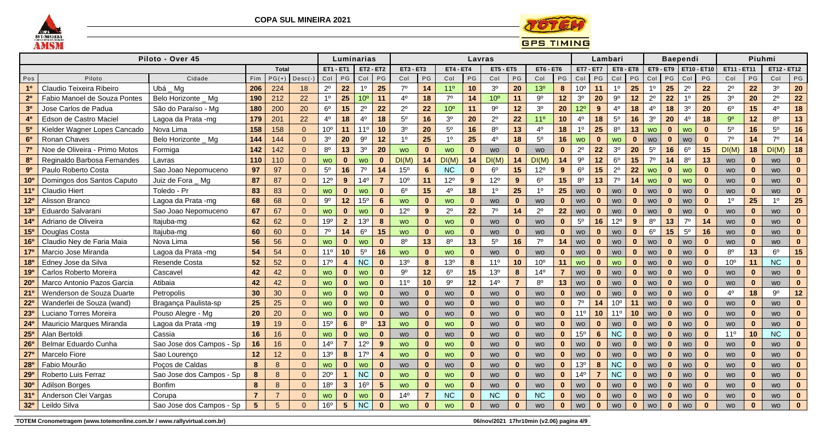



|                 |                               | Piloto - Over 45         |                 |                |                 |                 | Luminarias<br><b>ET1 - ET1</b><br><b>ET2 - ET2</b> |                 |                 |                  |                |                  |              | Lavras           |                  |                 |                |                  | Lambari        |                 |              |                |              | Baependi       |              |                 | Piuhmi       |                    |               |
|-----------------|-------------------------------|--------------------------|-----------------|----------------|-----------------|-----------------|----------------------------------------------------|-----------------|-----------------|------------------|----------------|------------------|--------------|------------------|------------------|-----------------|----------------|------------------|----------------|-----------------|--------------|----------------|--------------|----------------|--------------|-----------------|--------------|--------------------|---------------|
|                 |                               |                          |                 | <b>Total</b>   |                 |                 |                                                    |                 |                 | <b>ET3 - ET3</b> |                | <b>ET4 - ET4</b> |              | <b>ET5 - ET5</b> |                  | $ET6 - ET6$     |                | <b>ET7 - ET7</b> |                |                 | $ET8 - ET8$  |                | ET9 - ET9    | ET10 -         | $-ET10$      | ET11            | <b>ET11</b>  | <b>ET12 - ET12</b> |               |
| Pos             | Piloto                        | Cidade                   | Fim             | $PG(+)$        | $\vert$ Desc(-) | $Col$ PG        |                                                    | Co <sub>1</sub> | PG              | Col              | PG             | Col              | PG           | Col              | $\mathsf{PG}$    | Col             | PG             | Col              | PG             | Col             | PG           | Col            | P G          | Col            | PG           | Col             | PG           | Col                | $\mathsf{PG}$ |
| 1 <sup>0</sup>  | Claudio Teixeira Ribeiro      | Ubá Mg                   | 206             | 224            | 18              | $2^{\circ}$     | 22                                                 | $1^{\circ}$     | 25              | $7^\circ$        | 14             | 11 <sup>o</sup>  | 10           | 3 <sup>o</sup>   | 20               | 13 <sup>o</sup> | 8              | 10 <sup>o</sup>  | 11             | 1 <sup>0</sup>  | 25           | 1 <sup>0</sup> | 25           | $2^{\circ}$    | 22           | $2^{\circ}$     | 22           | 3 <sup>o</sup>     | 20            |
| 2 <sup>0</sup>  | Fabio Manoel de Souza Pontes  | Belo Horizonte _ Mg      | 190             | 212            | 22              | 1 <sup>0</sup>  | 25                                                 | 10 <sup>o</sup> | 11              | $4^{\circ}$      | 18             | 7 <sup>0</sup>   | 14           | 10 <sup>o</sup>  | 11               | $9^{\circ}$     | 12             | 3 <sup>o</sup>   | 20             | $9^{\circ}$     | 12           | $2^{\circ}$    | 22           | 1 <sup>0</sup> | 25           | 3 <sup>0</sup>  | 20           | $2^{\circ}$        | 22            |
| 3 <sup>0</sup>  | Jose Carlos de Padua          | São do Paraíso - Mg      | 180             | 200            | 20              | $6^{\circ}$     | 15                                                 | $2^{\circ}$     | 22              | $2^{\circ}$      | 22             | 10 <sup>o</sup>  | 11           | $9^{\rm o}$      | 12               | 3 <sup>0</sup>  | 20             | $12^{\circ}$     | 9              | 4 <sup>0</sup>  | 18           | 4 <sup>0</sup> | 18           | $30$           | 20           | 6 <sup>o</sup>  | 15           | $4^{\circ}$        | 18            |
| 4 <sup>0</sup>  | Edson de Castro Maciel        | Lagoa da Prata -mg       | 179             | 201            | 22              | 4º              | 18                                                 | $4^{\circ}$     | 18              | $5^{\circ}$      | 16             | 3 <sup>o</sup>   | 20           | $2^{\circ}$      | 22               | 11 <sup>0</sup> | 10             | $4^{\circ}$      | 18             | $5^{\rm o}$     | 16           | 3 <sup>o</sup> | 20           | $4^{\circ}$    | 18           | 9 <sup>o</sup>  | 12           | $8^{\circ}$        | 13            |
| 5 <sup>0</sup>  | Kielder Wagner Lopes Cancado  | Nova Lima                | 158             | 158            | $\overline{0}$  | 10 <sup>o</sup> | 11                                                 | 11 <sup>0</sup> | 10              | 3 <sup>0</sup>   | 20             | 5 <sup>0</sup>   | 16           | $8^{\circ}$      | 13               | 4 <sup>0</sup>  | 18             | 1 <sup>0</sup>   | 25             | $8^{\circ}$     | 13           | <b>WO</b>      | $\bf{0}$     | <b>WO</b>      | $\mathbf{0}$ | 5 <sup>0</sup>  | 16           | $5^{\circ}$        | 16            |
| 6 <sup>0</sup>  | Ronan Chaves                  | Belo Horizonte _ Mg      | 144             | 144            | $\Omega$        | 3 <sup>o</sup>  | 20                                                 | $9^{\rm o}$     | 12              | 1 <sup>0</sup>   | 25             | $1^{\circ}$      | 25           | 40               | 18               | $5^{\rm o}$     | 16             | <b>WO</b>        | $\mathbf{0}$   | <b>WO</b>       | $\mathbf{0}$ | <b>WO</b>      | $\bf{0}$     | <b>WO</b>      | $\mathbf{0}$ | $7^\circ$       | 14           | $7^\circ$          | 14            |
| 7 <sup>o</sup>  | Noe de Oliveira - Primo Motos | Formiga                  | 142             | 142            | $\Omega$        | $8^{\circ}$     | 13                                                 | 3 <sup>0</sup>  | 20              | <b>WO</b>        | $\bf{0}$       | <b>WO</b>        | $\mathbf{0}$ | <b>WO</b>        | $\mathbf{0}$     | <b>WO</b>       | $\mathbf{0}$   | $2^{\circ}$      | 22             | 3 <sup>o</sup>  | 20           | 5 <sup>0</sup> | 16           | 6 <sup>o</sup> | 15           | DI(M)           | 18           | DI(M)              | 18            |
| 8 <sup>0</sup>  | Reginaldo Barbosa Fernandes   | Lavras                   | 110             | 110            | $\Omega$        | wo              | $\bf{0}$                                           | <b>WO</b>       | $\mathbf{0}$    | DI(M)            | 14             | DI(M)            | 14           | DI(M)            | 14               | DI(M)           | 14             | $9^{\rm o}$      | 12             | $6^{\circ}$     | 15           | $7^\circ$      | 14           | $8^{\circ}$    | 13           | <b>WO</b>       | $\bf{0}$     | <b>WO</b>          | $\mathbf{0}$  |
| 9 <sup>0</sup>  | Paulo Roberto Costa           | Sao Joao Nepomuceno      | 97              | 97             | $\overline{0}$  | $5^{\circ}$     | 16                                                 | $7^\circ$       | 14              | 15 <sup>o</sup>  | 6              | <b>NC</b>        | $\mathbf{0}$ | $6^{\circ}$      | 15               | $12^{\circ}$    | 9              | $6^{\rm o}$      | 15             | $2^{\circ}$     | 22           | <b>WO</b>      | $\mathbf{0}$ | <b>WO</b>      | $\mathbf{0}$ | <b>WO</b>       | $\mathbf{0}$ | <b>WO</b>          | $\mathbf{0}$  |
| 10 <sup>o</sup> | Domingos dos Santos Caputo    | Juiz de Fora _ Mg        | 87              | 87             | $\Omega$        | $12^{\circ}$    | 9                                                  | 14 <sup>°</sup> | $\overline{7}$  | 10 <sup>o</sup>  | 11             | $12^{\circ}$     | 9            | $12^{\circ}$     | 9                | $6^{\circ}$     | 15             | $8^{\rm o}$      | 13             | $7^{\circ}$     | 14           | <b>WO</b>      | $\mathbf 0$  | <b>WO</b>      | $\mathbf{0}$ | <b>WO</b>       | $\mathbf{0}$ | <b>WO</b>          | $\mathbf{0}$  |
| 11 <sup>0</sup> | <b>Claudio Hiert</b>          | Toledo - Pr              | 83              | 83             | $\Omega$        | <b>WO</b>       | $\bf{0}$                                           | <b>WO</b>       | $\mathbf{0}$    | $6^{\circ}$      | 15             | 4 <sup>0</sup>   | 18           | $1^{\circ}$      | 25               | $1^{\circ}$     | 25             | <b>WO</b>        | $\mathbf{0}$   | <b>WO</b>       | $\bf{0}$     | <b>WO</b>      | $\mathbf 0$  | <b>WO</b>      | $\mathbf{0}$ | <b>WO</b>       | $\mathbf 0$  | <b>WO</b>          | $\mathbf{0}$  |
| 12 <sup>o</sup> | Alisson Branco                | Lagoa da Prata -mg       | 68              | 68             | $\Omega$        | 90              | $12$                                               | 15 <sup>o</sup> | $6\phantom{1}$  | <b>WO</b>        | $\mathbf 0$    | <b>WO</b>        | $\bf{0}$     | <b>WO</b>        | $\mathbf{0}$     | <b>WO</b>       | $\mathbf{0}$   | <b>WO</b>        | $\mathbf{0}$   | <b>WO</b>       | $\mathbf{0}$ | <b>WO</b>      | $\mathbf 0$  | <b>WO</b>      | $\mathbf{0}$ | 1 <sup>0</sup>  | 25           | $1^{\circ}$        | 25            |
| 13 <sup>0</sup> | Eduardo Salvarani             | Sao Joao Nepomuceno      | 67              | 67             | $\Omega$        | <b>WO</b>       | $\bf{0}$                                           | <b>WO</b>       | $\mathbf{0}$    | $12^{\circ}$     | 9              | $2^{\circ}$      | 22           | $7^{\circ}$      | 14               | $2^{\circ}$     | 22             | WO               | $\mathbf{0}$   | <b>WO</b>       | $\bf{0}$     | <b>WO</b>      | $\mathbf{0}$ | <b>WO</b>      | $\mathbf{0}$ | <b>WO</b>       | $\bf{0}$     | <b>WO</b>          | $\mathbf{0}$  |
| 14 <sup>0</sup> | Adriano de Oliveira           | Itajuba-mg               | 62              | 62             | $\Omega$        | 19°             | $\overline{2}$                                     | 13 <sup>o</sup> | 8               | <b>WO</b>        | $\mathbf{0}$   | <b>WO</b>        | $\mathbf{0}$ | <b>WO</b>        | $\mathbf{0}$     | <b>WO</b>       | $\mathbf{0}$   | $5^{\rm o}$      | 16             | $12^{\circ}$    | 9            | $8^{\rm o}$    | 13           | $7^\circ$      | 14           | <b>WO</b>       | $\mathbf{0}$ | <b>WO</b>          | $\mathbf{0}$  |
| <b>15°</b>      | Douglas Costa                 | Itajuba-mg               | 60              | 60             | $\Omega$        | $7^\circ$       | 14                                                 | $6^{\circ}$     | 15              | <b>WO</b>        | $\bf{0}$       | <b>WO</b>        | $\mathbf{0}$ | <b>WO</b>        | $\mathbf{0}$     | <b>WO</b>       | $\mathbf{0}$   | <b>WO</b>        | $\mathbf{0}$   | <b>WO</b>       | $\bf{0}$     | 6 <sup>o</sup> | 15           | $5^{\circ}$    | 16           | <b>WO</b>       | $\bf{0}$     | <b>WO</b>          | $\mathbf{0}$  |
| <b>16°</b>      | Claudio Ney de Faria Maia     | Nova Lima                | 56              | 56             | $\Omega$        | WO              | $\Omega$                                           | <b>WO</b>       | $\mathbf{0}$    | $8^{\circ}$      | 13             | $8^{\circ}$      | 13           | $5^{\circ}$      | 16               | $7^{\circ}$     | 14             | WO               | $\bf{0}$       | <b>WO</b>       | $\bf{0}$     | WO             | - 0          | <b>WO</b>      | $\mathbf{0}$ | <b>WO</b>       | $\bf{0}$     | <b>WO</b>          | $\mathbf{0}$  |
| 170             | Marcio Jose Miranda           | Lagoa da Prata -mg       | 54              | 54             | $\overline{0}$  | 11 <sup>°</sup> | 10                                                 | $5^{\circ}$     | 16              | <b>WO</b>        | $\bf{0}$       | <b>WO</b>        | $\mathbf{0}$ | <b>WO</b>        | $\mathbf{0}$     | <b>WO</b>       | $\mathbf{0}$   | <b>WO</b>        | $\mathbf{0}$   | <b>WO</b>       | $\mathbf{0}$ | <b>WO</b>      | $\mathbf{0}$ | <b>WO</b>      | $\mathbf{0}$ | 8 <sup>o</sup>  | 13           | 6 <sup>o</sup>     | 15            |
| <b>18º</b>      | Edney Jose da Silva           | Resende Costa            | 52              | 52             | $\Omega$        | 17°             | $\overline{\mathbf{4}}$                            | <b>NC</b>       | $\mathbf{0}$    | 13 <sup>o</sup>  | 8              | 13 <sup>o</sup>  | 8            | 11°              | 10               | 10 <sup>o</sup> | 11             | <b>WO</b>        | $\mathbf{0}$   | <b>WO</b>       | $\bf{0}$     | <b>WO</b>      | $\bf{0}$     | <b>WO</b>      | $\mathbf{0}$ | 10 <sup>o</sup> | 11           | <b>NC</b>          | $\mathbf{0}$  |
| 190             | Carlos Roberto Moreira        | Cascavel                 | 42              | 42             | $\Omega$        | <b>WO</b>       | $\Omega$                                           | <b>WO</b>       | $\mathbf{0}$    | $9^{\circ}$      | 12             | $6^{\circ}$      | 15           | 13 <sup>o</sup>  | $\boldsymbol{8}$ | 14 <sup>°</sup> | $\overline{7}$ | <b>WO</b>        | $\mathbf{0}$   | <b>WO</b>       | $\bf{0}$     | <b>WO</b>      | $\bf{0}$     | <b>WO</b>      | $\mathbf{0}$ | <b>WO</b>       | $\bf{0}$     | <b>WO</b>          | $\mathbf{0}$  |
| $20^{\circ}$    | Marco Antonio Pazos Garcia    | Atibaia                  | 42              | 42             | $\Omega$        | <b>WO</b>       | $\Omega$                                           | <b>WO</b>       | $\mathbf{0}$    | 11 <sup>°</sup>  | 10             | $9^{\circ}$      | 12           | $14^{\circ}$     | $\overline{7}$   | $8^{\circ}$     | 13             | <b>WO</b>        | $\bf{0}$       | <b>WO</b>       | $\bf{0}$     | <b>WO</b>      | $\bf{0}$     | <b>WO</b>      | $\mathbf{0}$ | <b>WO</b>       | $\bf{0}$     | <b>WO</b>          | $\mathbf{0}$  |
| 21°             | Wenderson de Souza Duarte     | Petropolis               | 30              | 30             | $\Omega$        | <b>WO</b>       | $\Omega$                                           | <b>WO</b>       | $\mathbf{0}$    | <b>WO</b>        | $\mathbf{0}$   | <b>WO</b>        | $\mathbf{0}$ | <b>WO</b>        | $\mathbf{0}$     | <b>WO</b>       | $\mathbf{0}$   | WO               | $\mathbf{0}$   | WO              | $\mathbf{0}$ | <b>WO</b>      | $\mathbf{0}$ | <b>WO</b>      | $\mathbf{0}$ | 4 <sup>0</sup>  | 18           | $9^{\circ}$        | 12            |
| $22^{\circ}$    | Wanderlei de Souza (wand)     | Bragança Paulista-sp     | 25              | 25             | $\Omega$        | <b>WO</b>       | $\bf{0}$                                           | <b>WO</b>       | $\mathbf{0}$    | <b>WO</b>        | $\mathbf{0}$   | <b>WO</b>        | $\mathbf{0}$ | <b>WO</b>        | $\mathbf{0}$     | <b>WO</b>       | $\mathbf{0}$   | 7 <sup>0</sup>   | 14             | 10 <sup>o</sup> | 11           | <b>WO</b>      | $\bf{0}$     | <b>WO</b>      | $\mathbf{0}$ | <b>WO</b>       | $\mathbf{0}$ | <b>WO</b>          | $\bf{0}$      |
| 230             | Luciano Torres Moreira        | Pouso Alegre - Mg        | 20              | 20             | $\Omega$        | <b>WO</b>       | $\Omega$                                           | <b>WO</b>       | $\mathbf{0}$    | <b>WO</b>        | $\mathbf{0}$   | <b>WO</b>        | $\bf{0}$     | <b>WO</b>        | $\mathbf{0}$     | <b>WO</b>       | $\mathbf{0}$   | 11 <sup>°</sup>  | 10             | $11^{\circ}$    | 10           | <b>WO</b>      | - 0          | <b>WO</b>      | $\mathbf{0}$ | <b>WO</b>       | $\bf{0}$     | <b>WO</b>          | $\mathbf{0}$  |
| 24 <sup>o</sup> | Mauricio Marques Miranda      | Lagoa da Prata -mg       | 19              | 19             | $\Omega$        | 15 <sup>o</sup> | 6                                                  | $8^{\circ}$     | 13              | <b>WO</b>        | $\mathbf{0}$   | <b>WO</b>        | $\bf{0}$     | <b>WO</b>        | $\mathbf{0}$     | <b>WO</b>       | $\mathbf{0}$   | WO               | $\mathbf{0}$   | <b>WO</b>       | $\bf{0}$     | <b>WO</b>      | $\bf{0}$     | <b>WO</b>      | $\mathbf{0}$ | <b>WO</b>       | $\bf{0}$     | <b>WO</b>          | $\mathbf{0}$  |
| <b>25°</b>      | Alan Bertoldi                 | Cassia                   | 16              | 16             | $\Omega$        | WO              | $\bf{0}$                                           | <b>WO</b>       | $\mathbf{0}$    | <b>WO</b>        | $\bf{0}$       | <b>WO</b>        | $\mathbf{0}$ | WO               | $\mathbf{0}$     | <b>WO</b>       | $\mathbf{0}$   | 15 <sup>o</sup>  | $6\phantom{1}$ | <b>NC</b>       | $\mathbf{0}$ | WO             | $\mathbf{0}$ | <b>WO</b>      | $\mathbf{0}$ | 11 <sup>0</sup> | 10           | <b>NC</b>          | $\mathbf{0}$  |
| 26 <sup>o</sup> | Belmar Eduardo Cunha          | Sao Jose dos Campos - Sp | 16              | 16             | $\Omega$        | $14^{\circ}$    | $\overline{7}$                                     | $12^{\circ}$    | 9               | <b>WO</b>        | $\bf{0}$       | <b>WO</b>        | $\mathbf{0}$ | <b>WO</b>        | $\mathbf{0}$     | <b>WO</b>       | $\mathbf{0}$   | <b>WO</b>        | $\mathbf{0}$   | <b>WO</b>       | $\bf{0}$     | <b>WO</b>      | $\mathbf{0}$ | <b>WO</b>      | $\mathbf{0}$ | <b>WO</b>       | $\mathbf{0}$ | <b>WO</b>          | $\mathbf{0}$  |
| <b>27º</b>      | <b>Marcelo Fiore</b>          | Sao Lourenço             | 12              | 12             | $\Omega$        | 13 <sup>o</sup> | 8                                                  | 17 <sup>°</sup> | $\overline{4}$  | <b>WO</b>        | $\mathbf 0$    | <b>WO</b>        | $\mathbf{0}$ | <b>WO</b>        | $\mathbf{0}$     | <b>WO</b>       | $\mathbf{0}$   | <b>WO</b>        | $\mathbf{0}$   | <b>WO</b>       | $\bf{0}$     | <b>WO</b>      | $\mathbf{0}$ | <b>WO</b>      | $\mathbf{0}$ | <b>WO</b>       | $\mathbf 0$  | <b>WO</b>          | $\mathbf{0}$  |
| <b>28°</b>      | Fabio Mourão                  | Poços de Caldas          | 8               | 8              | $\Omega$        | WO              | $\bf{0}$                                           | <b>WO</b>       | $\mathbf{0}$    | <b>WO</b>        | $\mathbf{0}$   | <b>WO</b>        | $\bf{0}$     | WO               | $\mathbf{0}$     | <b>WO</b>       | $\mathbf{0}$   | 13 <sup>°</sup>  | 8              | <b>NC</b>       | $\bf{0}$     | WO             | $\mathbf 0$  | <b>WO</b>      | $\mathbf{0}$ | <b>WO</b>       | $\bf{0}$     | <b>WO</b>          | $\mathbf{0}$  |
| <b>29°</b>      | Roberto Luis Ferraz           | Sao Jose dos Campos - Sp | 8               | 8              | $\Omega$        | $20^{\circ}$    |                                                    | <b>NC</b>       | $\mathbf{0}$    | <b>WO</b>        | $\mathbf 0$    | <b>WO</b>        | $\mathbf{0}$ | <b>WO</b>        | $\mathbf{0}$     | <b>WO</b>       | $\mathbf{0}$   | $14^{\circ}$     |                | <b>NC</b>       | $\mathbf{0}$ | <b>WO</b>      | $\bf{0}$     | <b>WO</b>      | $\mathbf{0}$ | <b>WO</b>       | $\mathbf 0$  | <b>WO</b>          | $\mathbf{0}$  |
| 30 <sup>o</sup> | <b>Adilson Borges</b>         | <b>Bonfim</b>            | 8               | 8              | $\Omega$        | 18 <sup>o</sup> | $\mathbf{3}$                                       | 16 <sup>o</sup> | $5\phantom{.0}$ | <b>WO</b>        | $\bf{0}$       | <b>WO</b>        | $\mathbf{0}$ | <b>WO</b>        | $\mathbf{0}$     | <b>WO</b>       | $\mathbf{0}$   | WO               | $\mathbf{0}$   | <b>WO</b>       | $\bf{0}$     | WO             | $\mathbf{0}$ | <b>WO</b>      | $\bf{0}$     | <b>WO</b>       | $\bf{0}$     | <b>WO</b>          | $\mathbf{0}$  |
| 31 <sup>o</sup> | Anderson Clei Vargas          | Corupa                   | $\overline{7}$  | $\overline{7}$ | U               | <b>WO</b>       | $\bf{0}$                                           | <b>WO</b>       | $\mathbf{0}$    | $14^{\circ}$     | $\overline{7}$ | <b>NC</b>        | $\Omega$     | <b>NC</b>        | $\mathbf{0}$     | <b>NC</b>       | $\bf{0}$       | <b>WO</b>        | $\mathbf{0}$   | <b>WO</b>       | $\bf{0}$     | <b>WO</b>      | - 0          | <b>WO</b>      | $\mathbf{0}$ | <b>WO</b>       | $\bf{0}$     | <b>WO</b>          | $\mathbf{0}$  |
| 32 <sup>o</sup> | Leildo Silva                  | Sao Jose dos Campos - Sp | $5\phantom{.0}$ | 5              |                 | 16 <sup>o</sup> | $\overline{\mathbf{5}}$                            | <b>NC</b>       | $\mathbf{0}$    | <b>WO</b>        | $\mathbf{0}$   | <b>WO</b>        | $\mathbf{0}$ | <b>WO</b>        | $\mathbf{0}$     | <b>WO</b>       | $\bf{0}$       | WO               | $\bf{0}$       | WO              | 0            | <b>WO</b>      | $\bf{0}$     | <b>WO</b>      | $\bf{0}$     | <b>WO</b>       | $\bf{0}$     | <b>WO</b>          | $\bf{0}$      |

TOTEM Cronometragem (www.totemonline.com.br / www.rallyvirtual.com.br)

06/nov/2021 17hr10min (v2.06) pagina 4/9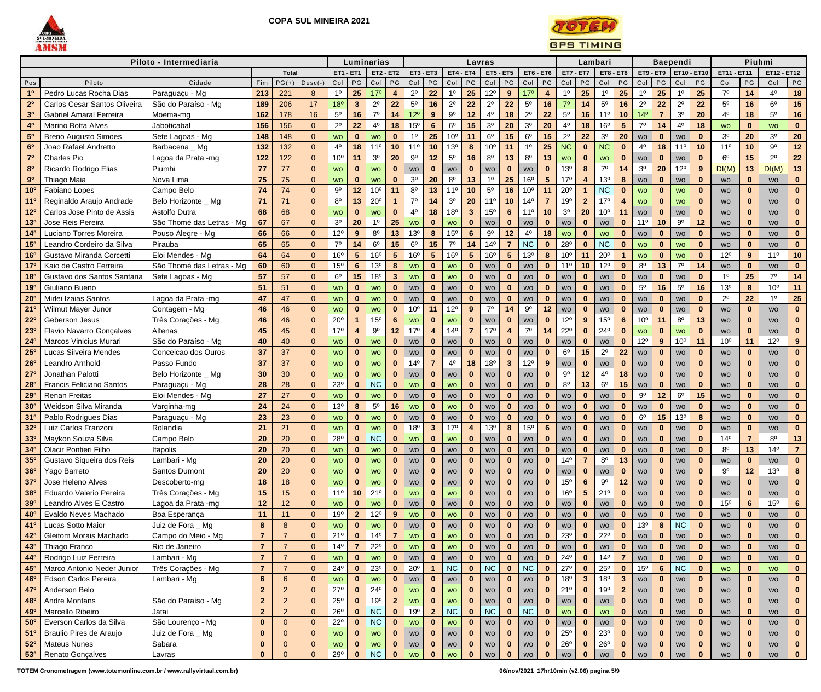



|                                    |                                             | Piloto - Intermediaria                  |                     |                     |                      |                          |                          | Luminarias                |                      |                        |                              |                   |                          | Lavras                 |                         |                              |                                |                                    | Lambari                      |                           |                         |                        |                | <b>Baependi</b>           |                      |                        | Piuhmi                       |                        |                              |
|------------------------------------|---------------------------------------------|-----------------------------------------|---------------------|---------------------|----------------------|--------------------------|--------------------------|---------------------------|----------------------|------------------------|------------------------------|-------------------|--------------------------|------------------------|-------------------------|------------------------------|--------------------------------|------------------------------------|------------------------------|---------------------------|-------------------------|------------------------|----------------|---------------------------|----------------------|------------------------|------------------------------|------------------------|------------------------------|
|                                    |                                             |                                         |                     | <b>Total</b>        |                      | <b>ET1 - ET1</b>         |                          | <b>ET2 - ET2</b>          |                      | <b>ET3 - ET3</b>       |                              | <b>ET4 - ET4</b>  |                          | <b>ET5 - ET5</b>       |                         |                              | $ET6 - ET6$                    | <b>ET7 - ET7</b>                   |                              | <b>ET8 - ET8</b>          |                         | ET9 - ET9              |                | <b>ET10 - ET10</b>        |                      | <b>ET11 - ET11</b>     |                              | ET12 - ET12            |                              |
| Pos                                | Piloto                                      | Cidade                                  | Fim                 | $PG(+)$             | $Desc(-)$            | $Col$ $PG$               |                          | Col                       | PG                   | Col                    | PG                           | $Col$ $PG$        |                          | Col                    | P                       | Col                          | PG                             | Col                                | $P$ G                        | Col                       | PG                      | $Col$ $PG$             |                | Col                       | PG                   | Col                    | PG                           | Col                    | PG                           |
| 1 <sup>0</sup>                     | Pedro Lucas Rocha Dias                      | Paraguaçu - Mg                          | 213                 | 221                 | 8                    | 1º                       | 25                       | 17 <sup>o</sup>           | 4                    | $2^{\circ}$            | 22                           | 1 <sup>0</sup>    | 25                       | $12^{\circ}$           | 9                       | 17 <sup>°</sup>              | 4                              | $1^{\circ}$                        | 25                           | $1^{\circ}$               | 25                      | $1^{\circ}$            | 25             | 10                        | 25                   | 70                     | 14                           | $4^{\circ}$            | 18                           |
| 2 <sup>0</sup>                     | Carlos Cesar Santos Oliveira                | São do Paraíso - Mg                     | 189                 | 206                 | 17                   | 18°                      | $\mathbf{3}$             | $2^{\circ}$               | 22                   | $5^{\circ}$            | 16                           | $2^{\circ}$       | 22                       | $2^{\circ}$            | 22                      | $5^{\circ}$                  | 16                             | 70                                 | 14                           | $5^{\circ}$               | 16                      | $2^{\circ}$            | 22             | $2^{\circ}$               | 22                   | $5^{\circ}$            | 16                           | $6^{\rm o}$            | 15                           |
| 3 <sup>0</sup>                     | <b>Gabriel Amaral Ferreira</b>              | Moema-mg                                | 162                 | 178                 | 16                   | $5^{\circ}$              | 16                       | $7^\circ$                 | 14                   | $12^{\circ}$           | 9                            | $9^{\circ}$       | 12                       | $4^{\circ}$            | 18                      | $2^{\circ}$                  | 22                             | $5^{\circ}$                        | 16                           | 11 <sup>°</sup>           | 10                      | 14 <sup>°</sup>        |                | 3 <sup>0</sup>            | 20                   | 40                     | 18                           | $5^{\circ}$            | 16                           |
| 4 <sup>0</sup>                     | <b>Marino Botta Alves</b>                   | Jaboticabal                             | 156                 | 156                 | $\Omega$             | $2^{\circ}$              | 22                       | $4^{\circ}$               | 18                   | 15 <sup>o</sup>        | $6\phantom{1}$               | $6^{\circ}$       | 15                       | 3 <sup>o</sup>         | 20                      | 3 <sup>0</sup>               | 20                             | $4^{\circ}$                        | 18                           | 16 <sup>o</sup>           | $5\phantom{.0}$         | $7^\circ$              | 14             | $4^{\circ}$               | 18                   | <b>WO</b>              | $\mathbf{0}$                 | <b>WO</b>              | $\mathbf{0}$                 |
| 5 <sup>0</sup>                     | <b>Breno Augusto Simoes</b>                 | Sete Lagoas - Mg                        | 148                 | 148                 | $\Omega$             | <b>WO</b>                | $\mathbf{0}$             | <b>WO</b>                 | $\bf{0}$             | 1 <sup>0</sup>         | 25                           | 10 <sup>o</sup>   | 11                       | $6^{\circ}$            | 15                      | $6^{\rm o}$                  | 15                             | $2^{\circ}$                        | 22                           | 3 <sup>o</sup>            | 20                      | <b>WO</b>              | $\mathbf{0}$   | <b>WO</b>                 | $\mathbf{0}$         | 3 <sup>o</sup>         | 20                           | 3 <sup>o</sup>         | 20                           |
| 6 <sup>0</sup>                     | Joao Rafael Andretto                        | Barbacena _ Mg                          | 132                 | 132                 | $\Omega$             | 4º                       | 18                       | 11 <sup>°</sup>           | 10                   | 11 <sup>0</sup>        | 10                           | 13 <sup>o</sup>   | 8                        | 10 <sup>o</sup>        | 11                      | 1 <sup>0</sup>               | 25                             | <b>NC</b>                          | $\mathbf{0}$                 | <b>NC</b>                 | $\bf{0}$                | $4^{\circ}$            | 18             | $11^{\circ}$              | 10                   | 11 <sup>°</sup>        | 10                           | $9^{\rm o}$            | 12                           |
|                                    | <b>Charles Pio</b>                          | Lagoa da Prata -mg<br>Piumhi            | 122                 | 122                 | $\Omega$             | 10 <sup>o</sup>          | 11                       | 3 <sup>o</sup>            | 20                   | $9^{\circ}$            | 12                           | $5^{\rm o}$       | 16                       | $8^{\circ}$            | 13                      | $8^{\circ}$                  | 13                             | <b>WO</b>                          | $\bf{0}$                     | <b>WO</b><br>$7^{\circ}$  | $\bf{0}$                | WO<br>3 <sup>0</sup>   | $\bf{0}$       | WO                        | $\bf{0}$             | $6^{\circ}$            | 15                           | $2^{\circ}$            | 22                           |
| 8 <sup>0</sup><br>9 <sup>o</sup>   | Ricardo Rodrigo Elias<br>Thiago Maia        | Nova Lima                               | 77<br>75            | 77<br>75            | $\Omega$<br>$\Omega$ | <b>WO</b>                | $\mathbf{0}$<br>$\bf{0}$ | <b>WO</b><br><b>WO</b>    | $\bf{0}$<br>$\bf{0}$ | WO<br>3 <sup>o</sup>   | $\mathbf{0}$<br>20           | WO<br>$8^{\circ}$ | $\mathbf{0}$<br>13       | WO<br>$1^{\circ}$      | $\mathbf{0}$<br>25      | <b>WO</b><br>16 <sup>o</sup> | $\mathbf{0}$<br>5 <sup>5</sup> | 13 <sup>o</sup><br>17 <sup>°</sup> | 8<br>$\overline{\mathbf{4}}$ | 13 <sup>o</sup>           | 14<br>8                 |                        | 20<br>$\bf{0}$ | $12^{\circ}$<br><b>WO</b> | 9<br>$\bf{0}$        | DI(M)                  | 13<br>$\bf{0}$               | DI(M)                  | 13                           |
| 10 <sup>o</sup>                    | Fabiano Lopes                               | Campo Belo                              | 74                  | 74                  | $\Omega$             | <b>WO</b><br>$9^{\circ}$ | 12                       | 10 <sup>o</sup>           | 11                   | $8^{\circ}$            | 13                           | 11 <sup>°</sup>   | 10                       | $5^{\circ}$            | 16                      | 10 <sup>o</sup>              | 11                             | $20^{\circ}$                       | -1                           | <b>NC</b>                 | $\bf{0}$                | <b>WO</b>              | $\mathbf{0}$   | <b>WO</b>                 | $\bf{0}$             | <b>WO</b><br><b>WO</b> | $\mathbf{0}$                 | <b>WO</b><br><b>WO</b> | $\mathbf{0}$<br>$\mathbf{0}$ |
| 11 <sup>c</sup>                    | Reginaldo Araujo Andrade                    | Belo Horizonte _ Mg                     | 71                  | 71                  | $\Omega$             | $8^{\circ}$              | 13                       | $20^{\circ}$              |                      | 7 <sup>0</sup>         | 14                           | 3 <sup>o</sup>    | 20                       | 11 <sup>°</sup>        | 10                      | 14 <sup>°</sup>              |                                | 19 <sup>o</sup>                    | $\overline{2}$               | 17 <sup>°</sup>           | $\overline{\mathbf{4}}$ | <b>WO</b><br><b>WO</b> | $\bf{0}$       | <b>WO</b>                 | $\bf{0}$             | <b>WO</b>              | $\bf{0}$                     | <b>WO</b>              | $\mathbf{0}$                 |
| 12 <sup>o</sup>                    | Carlos Jose Pinto de Assis                  | Astolfo Dutra                           | 68                  | 68                  | $\Omega$             | <b>WO</b>                | $\bf{0}$                 | <b>WO</b>                 | $\bf{0}$             | $4^{\circ}$            | 18                           | 18 <sup>o</sup>   | $\mathbf{3}$             | 15 <sup>o</sup>        | $6\phantom{1}6$         | 11 <sup>0</sup>              | 10                             | 3 <sup>o</sup>                     | 20                           | 10 <sup>o</sup>           | 11                      | <b>WO</b>              | $\bf{0}$       | <b>WO</b>                 | $\mathbf 0$          | <b>WO</b>              | $\mathbf{0}$                 | <b>WO</b>              | $\mathbf 0$                  |
| 13 <sup>0</sup>                    | Jose Reis Pereira                           | São Thomé das Letras - Mg               | 67                  | 67                  | $\Omega$             | 3 <sup>0</sup>           | 20                       | 1 <sup>0</sup>            | 25                   | <b>WO</b>              | $\mathbf{0}$                 | <b>WO</b>         | $\mathbf{0}$             | <b>WO</b>              | $\mathbf{0}$            | <b>WO</b>                    | $\bf{0}$                       | <b>WO</b>                          | $\mathbf 0$                  | <b>WO</b>                 | $\mathbf{0}$            | 11 <sup>°</sup>        | 10             | $9^{\circ}$               | 12                   | <b>WO</b>              | $\mathbf{0}$                 | <b>WO</b>              | $\mathbf{0}$                 |
| 14 <sup>0</sup>                    | Luciano Torres Moreira                      | Pouso Alegre - Mg                       | 66                  | 66                  | $\Omega$             | $12^{\circ}$             | 9                        | $8^{\circ}$               | 13                   | 13 <sup>o</sup>        | 8                            | 15 <sup>o</sup>   | $6\phantom{1}6$          | $9^{\circ}$            | 12                      | 4º                           | 18                             | <b>WO</b>                          | $\bf{0}$                     | <b>WO</b>                 | $\bf{0}$                | <b>WO</b>              | $\bf{0}$       | <b>WO</b>                 | $\bf{0}$             | <b>WO</b>              | $\mathbf{0}$                 | <b>WO</b>              | $\mathbf 0$                  |
| 15 <sup>0</sup>                    | Leandro Cordeiro da Silva                   | Pirauba                                 | 65                  | 65                  | $\Omega$             | $7^\circ$                | 14                       | 6 <sup>o</sup>            | 15                   | $6^{\circ}$            | 15                           | $7^\circ$         | 14                       | 14 <sup>°</sup>        |                         | NC                           | $\mathbf 0$                    | 28°                                | $\bf{0}$                     | <b>NC</b>                 | $\bf{0}$                | <b>WO</b>              | $\bf{0}$       | <b>WO</b>                 | $\bf{0}$             | <b>WO</b>              | $\bf{0}$                     | <b>WO</b>              | $\mathbf{0}$                 |
| 16 <sup>o</sup>                    | Gustavo Miranda Corcetti                    | Eloi Mendes - Mg                        | 64                  | 64                  | $\Omega$             | 16 <sup>o</sup>          | $5\phantom{1}$           | 16 <sup>o</sup>           | $5\phantom{.0}$      | 16 <sup>o</sup>        | 5 <sub>5</sub>               | 16 <sup>o</sup>   | $5\phantom{.0}$          | 16 <sup>o</sup>        | $5\phantom{1}$          | 13 <sup>o</sup>              | 8                              | 10 <sup>o</sup>                    | 11                           | $20^{\circ}$              | $\mathbf{1}$            | <b>WO</b>              | $\bf{0}$       | <b>WO</b>                 | $\mathbf{0}$         | 12°                    | 9                            | 11 <sup>0</sup>        | 10                           |
| $17^{\circ}$                       | Kaio de Castro Ferreira                     | São Thomé das Letras - Mg               | 60                  | 60                  | $\Omega$             | 15 <sup>o</sup>          | $6\phantom{1}$           | 13 <sup>o</sup>           | 8                    | <b>WO</b>              | $\mathbf{0}$                 | <b>WO</b>         | $\mathbf 0$              | <b>WO</b>              | $\mathbf{0}$            | <b>WO</b>                    | $\bf{0}$                       | 11 <sup>0</sup>                    | 10                           | $12^{\circ}$              | 9                       | $8^{\circ}$            | 13             | 70                        | 14                   | <b>WO</b>              | $\mathbf{0}$                 | <b>WO</b>              | $\mathbf{0}$                 |
| 18 <sup>c</sup>                    | Gustavo dos Santos Santana                  | Sete Lagoas - Mg                        | 57                  | 57                  | $\Omega$             | $6^{\circ}$              | 15                       | 18 <sup>o</sup>           | $\mathbf{3}$         | <b>WO</b>              | $\mathbf{0}$                 | <b>WO</b>         | $\bf{0}$                 | WO                     | $\bf{0}$                | WO                           | $\mathbf 0$                    | WO                                 | $\bf{0}$                     | <b>WO</b>                 | $\bf{0}$                | WO                     | $\mathbf{0}$   | <b>WO</b>                 | $\bf{0}$             | $1^{\circ}$            | 25                           | $7^\circ$              | 14                           |
| 190                                | Giuliano Bueno                              |                                         | 51                  | 51                  | $\Omega$             | <b>WO</b>                | $\bf{0}$                 | WO                        | $\bf{0}$             | <b>WO</b>              | $\mathbf{0}$                 | WO                | $\bf{0}$                 | WO                     | $\mathbf 0$             | WO                           | $\mathbf{0}$                   | <b>WO</b>                          | $\mathbf{0}$                 | WO                        | $\bf{0}$                | $5^{\circ}$            | 16             | 5 <sup>0</sup>            | 16                   | 13 <sup>o</sup>        | 8                            | 10 <sup>o</sup>        | 11                           |
| 20 <sup>o</sup>                    | Mirlei Izaias Santos                        | Lagoa da Prata -mg                      | 47                  | 47                  | $\Omega$             | <b>WO</b>                | $\bf{0}$                 | <b>WO</b>                 | $\bf{0}$             | WO                     | $\bf{0}$                     | <b>WO</b>         | $\bf{0}$                 | <b>WO</b>              | $\bf{0}$                | <b>WO</b>                    | $\mathbf 0$                    | <b>WO</b>                          | $\mathbf{0}$                 | <b>WO</b>                 | $\bf{0}$                | <b>WO</b>              | $\bf{0}$       | <b>WO</b>                 | $\mathbf{0}$         | $2^{\circ}$            | 22                           | $1^{\circ}$            | 25                           |
| 21'                                | Wilmut Mayer Junor                          | Contagem - Mg                           | 46                  | 46                  | $\Omega$             | <b>WO</b>                | $\bf{0}$                 | <b>WO</b>                 | $\bf{0}$             | 10 <sup>o</sup>        | 11                           | $12^{\circ}$      | 9                        | $7^\circ$              | 14                      | $9^{\circ}$                  | 12                             | <b>WO</b>                          | $\bf{0}$                     | <b>WO</b>                 | $\mathbf{0}$            | <b>WO</b>              | $\mathbf{0}$   | <b>WO</b>                 | $\bf{0}$             | <b>WO</b>              | $\mathbf{0}$                 | <b>WO</b>              | $\mathbf{0}$                 |
| $22^{\circ}$                       | Geberson Jesus                              | Três Corações - Mg                      | 46                  | 46                  | $\Omega$             | $20^{\circ}$             |                          | 15 <sup>o</sup>           | 6                    | <b>WO</b>              | $\mathbf{0}$                 | <b>WO</b>         | $\bf{0}$                 | <b>WO</b>              | $\bf{0}$                | WO                           | $\bf{0}$                       | $12^{\circ}$                       | 9                            | 15 <sup>o</sup>           | $6\phantom{1}6$         | 10 <sup>o</sup>        | 11             | $8^{\circ}$               | 13                   | <b>WO</b>              | $\bf{0}$                     | <b>WO</b>              | $\mathbf 0$                  |
| 23 <sup>c</sup>                    | <b>Flavio Navarro Gonçalves</b>             | Alfenas                                 | 45                  | 45                  | $\Omega$             | 17 <sup>°</sup>          | $\overline{4}$           | $9^{\circ}$               | 12                   | 17 <sup>°</sup>        | $\overline{4}$               | 14 <sup>°</sup>   | 7                        | 17 <sup>°</sup>        | $\overline{\mathbf{4}}$ | 70                           | 14                             | $22^{\circ}$                       | $\bf{0}$                     | $24^{\circ}$              | $\bf{0}$                | <b>WO</b>              | $\bf{0}$       | <b>WO</b>                 | $\bf{0}$             | <b>WO</b>              | $\bf{0}$                     | <b>WO</b>              | $\mathbf{0}$                 |
| 24 <sup>c</sup>                    | <b>Marcos Vinicius Murari</b>               | São do Paraíso - Mg                     | 40                  | 40                  | $\Omega$             | <b>WO</b>                | $\mathbf{0}$             | <b>WO</b>                 | $\bf{0}$             | WO                     | $\mathbf{0}$                 | WO                | $\mathbf{0}$             | WO                     | $\mathbf{0}$            | WO                           | $\mathbf{0}$                   | WO                                 | $\mathbf{0}$                 | <b>WO</b>                 | $\bf{0}$                | $12^{\circ}$           | 9              | 10 <sup>o</sup>           | 11                   | 10 <sup>o</sup>        | 11                           | $12^{\circ}$           | 9                            |
| 25 <sup>o</sup>                    | Lucas Silveira Mendes                       | Conceicao dos Ouros                     | 37                  | 37                  | $\Omega$             | <b>WO</b>                | $\mathbf{0}$             | <b>WO</b>                 | $\bf{0}$             | <b>WO</b>              | $\bf{0}$                     | <b>WO</b>         | $\bf{0}$                 | <b>WO</b>              | $\mathbf 0$             | <b>WO</b>                    | $\mathbf{0}$                   | $6^{\circ}$                        | 15                           | $2^{\circ}$               | 22                      | <b>WO</b>              | $\mathbf{0}$   | <b>WO</b>                 | $\bf{0}$             | <b>WO</b>              | $\mathbf{0}$                 | <b>WO</b>              | $\mathbf{0}$                 |
| 26 <sup>o</sup>                    | Leandro Arnhold                             | Passo Fundo                             | 37                  | 37                  | $\overline{0}$       | <b>WO</b>                | $\bf{0}$                 | <b>WO</b>                 | $\bf{0}$             | 14 <sup>°</sup>        | $\overline{7}$               | $4^{\circ}$       | 18                       | 18 <sup>o</sup>        | $\mathbf{3}$            | $12^{\circ}$                 | $9^{\circ}$                    | <b>WO</b>                          | $\bf{0}$                     | <b>WO</b>                 | $\mathbf 0$             | WO                     | $\mathbf{0}$   | <b>WO</b>                 | $\bf{0}$             | <b>WO</b>              | $\mathbf{0}$                 | <b>WO</b>              | $\mathbf{0}$                 |
| $27^\circ$                         | Jonathan Palotti                            | Belo Horizonte _ Mg                     | 30                  | 30                  | $\Omega$             | <b>WO</b>                | $\bf{0}$                 | <b>WO</b>                 | $\bf{0}$             | <b>WO</b>              | $\bf{0}$                     | WO                | $\mathbf 0$              | WO                     | $\mathbf 0$             | WO                           | $\bf{0}$                       | $9^{\circ}$                        | 12                           | $4^{\circ}$               | 18                      | WO                     | $\bf{0}$       | WO                        | $\bf{0}$             | <b>WO</b>              | $\bf{0}$                     | <b>WO</b>              | $\mathbf{0}$                 |
| <b>28<sup>0</sup></b>              | <b>Francis Feliciano Santos</b>             | Paraguaçu - Mg                          | 28                  | 28                  | $\Omega$             | $23^{\circ}$             | $\bf{0}$                 | <b>NC</b>                 | $\bf{0}$             | <b>WO</b>              | $\mathbf{0}$                 | <b>WO</b>         | $\bf{0}$                 | WO                     | $\bf{0}$                | WO                           | $\mathbf{0}$                   | $8^{\circ}$                        | 13                           | 6 <sup>o</sup>            | 15                      | WO                     | $\bf{0}$       | WO                        | $\bf{0}$             | <b>WO</b>              | $\mathbf 0$                  | <b>WO</b>              | $\mathbf 0$                  |
| 29°                                | <b>Renan Freitas</b>                        | Eloi Mendes - Mg                        | 27                  | 27                  | $\Omega$             | <b>WO</b>                | $\mathbf{0}$             | <b>WO</b>                 | $\mathbf{0}$         | WO                     | $\mathbf{0}$                 | wo                | $\mathbf{0}$             | WO                     | $\mathbf{0}$            | WO                           | $\mathbf 0$                    | WO                                 | $\mathbf{0}$                 | WO                        | $\mathbf{0}$            | Q <sub>0</sub><br>◡    | 12             | $6^{\rm o}$               | 15                   | WO                     | $\mathbf{0}$                 | WO                     |                              |
| 30 <sup>o</sup>                    | Weidson Silva Miranda                       | Varginha-mg                             | 24                  | 24                  | $\Omega$             | 13 <sup>°</sup>          | 8                        | $5^{\circ}$               | 16                   | <b>WO</b>              | $\mathbf{0}$                 | <b>WO</b>         | $\mathbf 0$              | WO                     | $\mathbf{0}$            | <b>WO</b>                    | $\mathbf{0}$                   | WO                                 | $\mathbf{0}$                 | <b>WO</b>                 | $\mathbf{0}$            | WO                     | $\mathbf{0}$   | WO                        | $\mathbf 0$          | <b>WO</b>              | $\mathbf{0}$                 | <b>WO</b>              | $\mathbf{0}$                 |
| 31 <sup>0</sup>                    | Pablo Rodrigues Dias                        | Paraguaçu - Mg                          | 23                  | 23                  | $\Omega$             | <b>WO</b>                | $\bf{0}$                 | <b>WO</b>                 | $\bf{0}$             | WO                     | $\bf{0}$                     | WO                |                          | WO                     | $\bf{0}$                | WO                           | $\mathbf{0}$                   | WO                                 | $\bf{0}$                     | WO                        | $\bf{0}$                | $6^{\circ}$            | 15             | 13 <sup>°</sup>           | 8                    | WO                     | $\mathbf{0}$                 | <b>WO</b>              | $\mathbf{0}$                 |
| 32 <sup>o</sup>                    | Luiz Carlos Franzoni                        | Rolandia                                | 21                  | 21                  | $\Omega$             | <b>WO</b>                | $\mathbf{0}$             | <b>WO</b>                 | $\bf{0}$             | 18 <sup>o</sup>        | $\mathbf{3}$                 | 17°               |                          | 13 <sup>o</sup>        | 8                       | 15 <sup>o</sup>              | $6\phantom{a}$                 | <b>WO</b>                          | $\mathbf{0}$                 | <b>WO</b>                 | $\mathbf{0}$            | <b>WO</b>              | $\bf{0}$       | <b>WO</b>                 | $\mathbf{0}$         | <b>WO</b>              | $\mathbf 0$                  | <b>WO</b>              | $\mathbf{0}$                 |
| 330                                | Maykon Souza Silva                          | Campo Belo                              | 20                  | 20                  | $\Omega$             | 28°                      | $\mathbf{0}$             | <b>NC</b>                 | $\bf{0}$             | <b>WO</b>              | $\mathbf{0}$                 | <b>WO</b>         | $\bf{0}$                 | <b>WO</b>              | $\bf{0}$                | <b>WO</b>                    | $\mathbf{0}$                   | <b>WO</b>                          | $\bf{0}$                     | <b>WO</b>                 | $\bf{0}$                | <b>WO</b>              | $\bf{0}$       | <b>WO</b>                 | $\bf{0}$             | 14 <sup>°</sup>        | $\overline{7}$               | $8^{\circ}$            | 13                           |
| 34 <sup>o</sup>                    | <b>Olacir Pontieri Filho</b>                | Itapolis                                | 20                  | 20                  | $\overline{0}$       | <b>WO</b>                | $\mathbf{0}$             | <b>WO</b>                 | $\bf{0}$             | WO                     | $\mathbf{0}$                 | WO                | $\bf{0}$                 | WO                     | $\mathbf 0$             | <b>WO</b>                    | $\mathbf{0}$                   | WO                                 | $\mathbf{0}$                 | <b>WO</b>                 | $\mathbf{0}$            | WO                     | $\bf{0}$       | WO                        | $\bf{0}$             | $8^{\circ}$            | 13                           | $14^{\circ}$           | 7 <sup>1</sup>               |
| 35 <sup>o</sup>                    | Gustavo Siqueira dos Reis                   | Lambari - Mg                            | 20                  | 20                  | $\overline{0}$       | <b>WO</b>                | $\bf{0}$                 | <b>WO</b>                 | $\bf{0}$             | <b>WO</b>              | $\mathbf{0}$                 | WO                | $\bf{0}$                 | <b>WO</b>              | $\bf{0}$                | WO                           | $\mathbf{0}$                   | 14 <sup>°</sup>                    |                              | 8 <sup>o</sup>            | 13                      | <b>WO</b>              |                | WO                        | $\bf{0}$             | <b>WO</b>              | $\bf{0}$                     | <b>WO</b>              | $\mathbf{0}$                 |
| 36 <sup>o</sup>                    | Yago Barreto                                | Santos Dumont                           | 20                  | 20                  | $\Omega$             | <b>WO</b>                | $\bf{0}$                 | <b>WO</b>                 |                      | <b>WO</b>              | $\mathbf{0}$                 | WO                | $\bf{0}$                 | <b>WO</b>              | $\bf{0}$                | <b>WO</b>                    |                                | <b>WO</b>                          | $\bf{0}$                     | <b>WO</b>                 | $\bf{0}$                | WO                     |                | WO                        | $\bf{0}$             | $9^{\circ}$            | 12                           | 13 <sup>°</sup>        | 8                            |
| 37 <sup>o</sup>                    | Jose Heleno Alves                           | Descoberto-mg                           | 18                  | 18                  | $\Omega$             | <b>WO</b>                | $\mathbf{0}$             | <b>WO</b>                 | $\bf{0}$             | <b>WO</b>              | $\mathbf{0}$                 | WO                | $\bf{0}$                 | WO                     | $\mathbf{0}$            | WO                           | $\mathbf{0}$                   | 15 <sup>o</sup>                    | 6                            | $9^{\circ}$               | 12                      | WO                     | $\mathbf{0}$   | WO                        | $\bf{0}$             | <b>WO</b>              | $\mathbf{0}$                 | <b>WO</b>              | $\mathbf{0}$                 |
| <b>38°</b>                         | <b>Eduardo Valerio Pereira</b>              | Três Corações - Mg                      | 15                  | 15                  | $\Omega$             | 11 <sup>°</sup>          | 10                       | 21°                       | $\bf{0}$             | <b>WO</b>              | $\mathbf{0}$                 | <b>WO</b>         | $\bf{0}$                 | WO                     | $\mathbf 0$             | WO                           | $\mathbf{0}$                   | 16 <sup>o</sup>                    | $5\phantom{.0}$              | 21°                       | $\bf{0}$                | <b>WO</b>              | $\bf{0}$       | WO                        | $\mathbf{0}$         | <b>WO</b>              | $\bf{0}$                     | <b>WO</b>              | $\mathbf{0}$                 |
| <b>39°</b>                         | Leandro Alves E Castro                      | Lagoa da Prata -mg                      | 12                  | 12                  | $\overline{0}$       | <b>WO</b><br>19°         |                          | <b>WO</b><br>$12^{\circ}$ |                      | WO                     | $\bf{0}$                     | WO                |                          | WO                     | 0                       | WO                           | $\mathbf 0$                    | WO                                 | 0                            | WO                        | $\bf{0}$                | WO                     |                | WO                        | 0                    | 15 <sup>o</sup>        | 6                            | 15 <sup>o</sup>        | 6 <sup>1</sup>               |
| 40°                                | Evaldo Neves Machado                        | Boa Esperança                           | 11                  | 11                  | $\overline{0}$       |                          | $\overline{2}$           |                           | 9                    | <b>WO</b>              | $\mathbf{0}$                 | <b>WO</b>         | $\mathbf{0}$             | <b>WO</b>              | $\mathbf{0}$            | WO                           | $\mathbf{0}$                   | WO                                 | $\mathbf{0}$<br>$\Omega$     | WO                        | $\mathbf{0}$            | WO<br>13 <sup>o</sup>  | $\bf{0}$       | WO<br><b>NC</b>           | $\mathbf{0}$         | <b>WO</b>              | $\bf{0}$                     | <b>WO</b>              | $\mathbf{0}$                 |
| 41 <sup>o</sup><br>42 <sup>c</sup> | Lucas Sotto Maior<br>Gleitom Morais Machado | Juiz de Fora _ Mg<br>Campo do Meio - Mg | 8<br>$\overline{7}$ | 8<br>$\overline{7}$ | $\Omega$             | <b>WO</b><br>21°         | $\mathbf{0}$<br>$\bf{0}$ | <b>WO</b><br>$14^{\circ}$ | $\bf{0}$             | <b>WO</b><br><b>WO</b> | $\mathbf{0}$<br>$\mathbf{0}$ | WO<br><b>WO</b>   | $\bf{0}$<br>$\mathbf{0}$ | <b>WO</b>              | $\bf{0}$<br>$\mathbf 0$ | <b>WO</b>                    | $\mathbf{0}$<br>$\mathbf{0}$   | <b>WO</b><br>23 <sup>o</sup>       | $\bf{0}$                     | <b>WO</b><br>$22^{\circ}$ | $\bf{0}$<br>$\bf{0}$    |                        | 8<br>$\bf{0}$  |                           | $\bf{0}$<br>$\bf{0}$ | WO                     | $\mathbf{0}$<br>$\mathbf{0}$ | <b>WO</b>              | $\mathbf{0}$<br>$\mathbf{0}$ |
| 430                                | Thiago Franco                               | Rio de Janeiro                          | $\overline{7}$      | $\overline{7}$      | $\Omega$             | $14^{\circ}$             |                          | $22^{\circ}$              | $\bf{0}$             | <b>WO</b>              | $\mathbf{0}$                 | <b>WO</b>         | $\bf{0}$                 | <b>WO</b><br><b>WO</b> | $\bf{0}$                | WO<br>WO                     | $\mathbf{0}$                   | WO                                 | $\bf{0}$                     |                           |                         | WO<br>WO               |                | WO                        | $\bf{0}$             | WO<br><b>WO</b>        | $\bf{0}$                     | <b>WO</b>              | $\mathbf{0}$                 |
| 44 <sup>0</sup>                    | Rodrigo Luiz Ferreira                       | Lambari - Mg                            | $\overline{7}$      | $\overline{7}$      | $\Omega$             | <b>WO</b>                | $\bf{0}$                 | <b>WO</b>                 |                      | WO                     | $\bf{0}$                     | WO                | $\bf{0}$                 | <b>WO</b>              | $\bf{0}$                | WO                           | $\mathbf 0$                    | $24^{\circ}$                       | $\bf{0}$                     | WO<br>$14^{\circ}$        |                         | WO                     | $\bf{0}$       | WO<br>WO                  | $\mathbf 0$          | <b>WO</b>              | $\mathbf{0}$                 | <b>WO</b><br><b>WO</b> | $\mathbf{0}$                 |
| 45°                                | Marco Antonio Neder Junior                  | Três Corações - Mg                      | $\overline{7}$      | $\overline{7}$      | $\Omega$             | $24^{\circ}$             | $\mathbf{0}$             | $23^{\circ}$              | $\bf{0}$             | $20^{\circ}$           |                              | <b>NC</b>         | $\mathbf{0}$             | <b>NC</b>              | $\mathbf{0}$            | NC                           | $\mathbf{0}$                   | $27^\circ$                         | $\bf{0}$                     | $25^{\circ}$              | $\mathbf{0}$            | 15 <sup>o</sup>        | $6\phantom{1}$ | <b>NC</b>                 | $\bf{0}$             | <b>WO</b>              | $\mathbf{0}$                 | <b>WO</b>              | $\mathbf{0}$                 |
| 46°                                | <b>Edson Carlos Pereira</b>                 | Lambari - Mg                            | $6\phantom{1}$      | 6                   |                      | <b>WO</b>                | $\bf{0}$                 | <b>WO</b>                 | $\bf{0}$             | <b>WO</b>              | $\mathbf{0}$                 | WO                |                          | WO                     | $\bf{0}$                | WO                           | $\bf{0}$                       | 18 <sup>o</sup>                    | 3                            | 18 <sup>o</sup>           | $\mathbf{3}$            | WO                     | $\bf{0}$       | WO                        | $\bf{0}$             | <b>WO</b>              | $\bf{0}$                     | <b>WO</b>              | $\mathbf{0}$                 |
| 47 <sup>c</sup>                    | Anderson Belo                               |                                         | 2 <sup>2</sup>      | $\overline{2}$      | $\Omega$             | $27^\circ$               | $\bf{0}$                 | $24^{\circ}$              |                      | <b>WO</b>              | $\mathbf{0}$                 | <b>WO</b>         | $\bf{0}$                 | WO                     |                         | WO                           | $\mathbf 0$                    | 21°                                | $\bf{0}$                     | 19 <sup>o</sup>           | $\overline{2}$          | WO                     |                | WO                        | 0                    | WO                     | $\bf{0}$                     | <b>WO</b>              | $\mathbf{0}$                 |
| 480                                | <b>Andre Montans</b>                        | São do Paraíso - Mg                     | 2 <sup>2</sup>      | $\overline{2}$      | $\Omega$             | $25^{\circ}$             | $\mathbf{0}$             | 19°                       | $\overline{2}$       | <b>WO</b>              | $\mathbf{0}$                 | <b>WO</b>         | $\mathbf 0$              | WO                     | $\mathbf{0}$            | WO                           | $\mathbf{0}$                   | WO                                 | $\mathbf{0}$                 | WO                        | $\mathbf{0}$            | WO                     | $\mathbf{0}$   | WO                        | $\mathbf 0$          | WO                     | $\mathbf{0}$                 | <b>WO</b>              | $\mathbf{0}$                 |
| 490                                | Marcello Ribeiro                            | Jatai                                   | 2 <sup>1</sup>      | $\overline{2}$      |                      | $26^{\circ}$             | $\mathbf{0}$             | <b>NC</b>                 | $\bf{0}$             | 19 <sup>o</sup>        | 2 <sup>2</sup>               | <b>NC</b>         | $\mathbf{0}$             | <b>NC</b>              | $\mathbf{0}$            | NC                           | $\mathbf{0}$                   | <b>WO</b>                          | $\bf{0}$                     | <b>WO</b>                 | $\bf{0}$                | <b>WO</b>              | $\mathbf{0}$   | <b>WO</b>                 | $\bf{0}$             | <b>WO</b>              | $\bf{0}$                     | <b>WO</b>              | $\mathbf{0}$                 |
| 50 <sup>o</sup>                    | Everson Carlos da Silva                     | São Lourenço - Mg                       | $\mathbf{0}$        | $\overline{0}$      | $\Omega$             | $22^{\circ}$             | $\mathbf{0}$             | <b>NC</b>                 | $\bf{0}$             | <b>WO</b>              | $\mathbf{0}$                 | <b>WO</b>         | $\mathbf{0}$             | WO                     | $\bf{0}$                | WO                           | $\bf{0}$                       | <b>WO</b>                          | $\bf{0}$                     | WO                        | $\mathbf{0}$            | WO                     | $\bf{0}$       | WO                        | $\bf{0}$             | <b>WO</b>              | $\mathbf{0}$                 | <b>WO</b>              | $\mathbf{0}$                 |
| 51 <sup>c</sup>                    | Braulio Pires de Araujo                     | Juiz de Fora _ Mg                       | $\mathbf{0}$        | $\mathbf{0}$        | $\Omega$             | <b>WO</b>                | $\bf{0}$                 | <b>WO</b>                 | $\bf{0}$             | <b>WO</b>              | $\mathbf{0}$                 | WO                | $\bf{0}$                 | <b>WO</b>              | $\mathbf 0$             | WO                           | $\bf{0}$                       | $25^{\circ}$                       | $\bf{0}$                     | $23^{\circ}$              | $\mathbf 0$             | WO                     | $\bf{0}$       | WO                        | $\bf{0}$             | <b>WO</b>              | $\bf{0}$                     | <b>WO</b>              | $\mathbf{0}$                 |
| 52°                                | <b>Mateus Nunes</b>                         | Sabara                                  | $\mathbf{0}$        | $\mathbf{0}$        |                      | <b>WO</b>                | $\bf{0}$                 | <b>WO</b>                 | $\bf{0}$             | WO                     | $\mathbf{0}$                 | WO                | $\bf{0}$                 | WO                     | $\bf{0}$                | WO                           | $\mathbf 0$                    | $26^{\circ}$                       | $\bf{0}$                     | $26^{\circ}$              | $\bf{0}$                | WO                     | $\bf{0}$       | WO                        | $\bf{0}$             | WO                     | $\bf{0}$                     | <b>WO</b>              | $\mathbf{0}$                 |
| 530                                | Renato Gonçalves                            | Lavras                                  | $\mathbf{0}$        | $\mathbf{0}$        |                      | $29^{\circ}$             | $\mathbf{0}$             | <b>NC</b>                 | $\bf{0}$             | <b>WO</b>              | $\mathbf{0}$                 | <b>WO</b>         | $\mathbf 0$              | WO                     | $\mathbf{0}$            | WO                           | $\bf{0}$                       | WO                                 | $\mathbf{0}$                 | WO                        | $\bf{0}$                | WO                     | $\mathbf{0}$   | WO                        | $\bf{0}$             | WO                     | $\mathbf{0}$                 | WO                     | $\mathbf{0}$                 |
|                                    |                                             |                                         |                     |                     |                      |                          |                          |                           |                      |                        |                              |                   |                          |                        |                         |                              |                                |                                    |                              |                           |                         |                        |                |                           |                      |                        |                              |                        |                              |

TOTEM Cronometragem (www.totemonline.com.br / www.rallyvirtual.com.br)

06/nov/2021 17hr10min (v2.06) pagina 5/9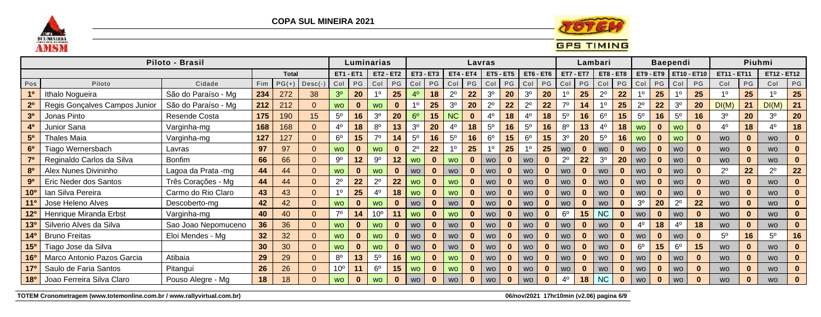

**COPA SUL MINEIRA 2021** 



Piloto - Brasil Luminarias Lavras Lambari **Baependi** Piuhmi Total **ET1 - ET1 ET2 - ET2 ET3 - ET3**  $ET4 - ET4$   $ET5 - ET5$ **ET6 - ET6 ET7 - ET7** ET8 - ET8 ET9 - ET9 FET10 - ET10 ET11 - ET11 ET12 - ET12  $PG$ Pos Piloto Cidade Fim  $PG(+)$ Desc(-Col PG Col PG Col  $PG$  $Col$   $PG$  $|Col|PG$  $Col$   $PG$ Col  $Col$   $PG$ Col PG Col  $PG$ PG Col PG Col  $3<sup>0</sup>$  $1<sup>0</sup>$  $2^{\circ}$  $3<sup>0</sup>$  $3<sup>0</sup>$  $25<sub>2</sub>$  $2^{\circ}$ 25  $10$  $1<sup>0</sup>$ Ithalo Nogueira São do Paraíso - Mg 234 272 38 20 25  $4<sup>0</sup>$ 18  $22$ 20 20  $1<sup>0</sup>$  $22$  $10$ 25  $1<sup>0</sup>$ 25  $10$ 25 212  $3<sup>0</sup>$  $2^{\circ}$  $7<sup>0</sup>$  $2^{\circ}$  $3<sup>0</sup>$  $DI(M)$  $2<sup>0</sup>$ Regis Goncalves Campos Junior São do Paraíso - Mg 212  $1<sup>0</sup>$ 25 20  $2^{\circ}$  $22$ 22 14  $10$ 25  $22$ 20  $DI(M)$  $21$  $21$  $\Omega$ **WO**  $\mathbf{0}$ **WO**  $\mathbf{0}$  $5^{\circ}$  $3<sup>o</sup>$ **NC**  $5<sup>0</sup>$  $16$  $5^{\circ}$  $5^{\circ}$  $3<sup>0</sup>$  $3<sup>0</sup>$ Jonas Pinto Resende Costa 175 190 15 16 20  $6<sup>o</sup>$ 15  $4<sup>0</sup>$ 18  $4<sup>0</sup>$ 18  $6<sup>o</sup>$  $15$ 16 16 20  $3<sup>o</sup>$ 20  $\mathbf{0}$ 168 168  $4<sup>0</sup>$  $8^{\circ}$  $3<sup>0</sup>$  $4<sup>0</sup>$  $5<sup>0</sup>$  $5^{\circ}$  $8<sup>0</sup>$  $13$ 18 4<sup>0</sup> Junior Sana Varginha-mg  $\Omega$ 18  $13$ 20 18 16 16 40 18 40  $4<sup>0</sup>$ 18 **WO**  $\mathbf{0}$ **WO**  $\mathbf{0}$  $5<sup>0</sup>$ **Thales Maia** 127 127  $6^{\circ}$  $15$  $7<sup>0</sup>$  $5^{\circ}$ 16  $5^{\circ}$ 16  $6^{\circ}$ 15  $6^{\circ}$ 15  $3<sup>0</sup>$ 20  $5^{\circ}$ 16 Varginha-mg  $\Omega$ 14 **WO**  $\mathbf{0}$ **WO**  $\mathbf{0}$ **WO**  $\mathbf{0}$  $\mathbf{0}$ **WO**  $6<sup>0</sup>$ Tiago Wernersbach Lavras 97 97  $\Omega$ **WO**  $\mathbf{0}$ **WO**  $\mathbf{0}$  $2^{\circ}$ 22  $1<sup>0</sup>$ 25  $10$ 25  $10$ 25  $\mathbf{0}$  $\mathbf{0}$ **WO**  $\mathbf{0}$ **WO**  $\mathbf{0}$  $\mathbf{0}$  $\mathbf{0}$ **WO WO WO WO** Reginaldo Carlos da Silva **Bonfim** 66  $9^{\circ}$  $9^{\circ}$  $2^{\circ}$  $22$  $3<sup>0</sup>$  $7<sup>0</sup>$ 66  $12$  $12<sup>2</sup>$  $\mathbf{0}$ 20  $\Omega$ **WO**  $\mathbf{0}$ **WO**  $\mathbf{0}$ **WO**  $\mathbf{0}$ **WO WO**  $\mathbf{0}$ **WO**  $\mathbf{0}$ **WO**  $\mathbf{0}$ **WO**  $\mathbf{0}$  $2^{\circ}$  $2^{\circ}$ 80 Alex Nunes Divininho Lagoa da Prata -mg  $22$  $22<sub>2</sub>$ 44 44  $\Omega$  $\mathbf{0}$ **WO**  $\mathbf{0}$ **WO WO**  $\mathbf{0}$  $\mathbf{0}$  $\mathbf{0}$  $\mathbf{0}$ **WO**  $\mathbf{0}$  $\mathbf{0}$ **WO**  $\bf{0}$  $\bf{0}$ **WO WO WO WO WO** Três Corações - Mg  $2^{\circ}$  $2^{\circ}$  $9<sup>0</sup>$ Eric Neder dos Santos 44 44 22 22  $\mathbf{0}$  $\mathbf{0}$  $\overline{0}$ **WO**  $\mathbf{0}$ **WO**  $\mathbf{0}$ **WO**  $\mathbf{0}$ **WO**  $\mathbf{0}$ **WO**  $\mathbf{0}$ **WO**  $\mathbf{0}$ **WO**  $\mathbf{0}$ **WO**  $\mathbf{0}$ **WO WO**  $10<sup>o</sup>$ Ian Silva Pereira Carmo do Rio Claro 43 43  $1<sup>0</sup>$ 25  $4^{\circ}$ 18 **WO**  $\Omega$ **WO**  $\bf{0}$  $\mathbf{0}$ **WO**  $\mathbf{0}$ **WO**  $\mathbf{0}$ **WO**  $\mathbf{0}$ **WO**  $\mathbf{0}$ **WO**  $\mathbf{0}$ **WO**  $\mathbf{0}$  $\mathbf{0}$  $\mathbf{0}$ **WO WO**  $3<sup>o</sup>$  $2^{\circ}$  $11^{\circ}$ Jose Heleno Alves Descoberto-ma 42 42  $\Omega$ **WO**  $\mathbf{0}$ **WO**  $\mathbf{0}$  $\mathbf{0}$  $\mathbf{0}$  $\mathbf{0}$  $\mathbf{0}$ 20 22  $\mathbf{0}$  $\mathbf{0}$ **WO**  $\mathbf 0$ **WO**  $\mathbf{0}$ **WO WO WO WO WO WO**  $10<sup>o</sup>$ **NC**  $12<sup>o</sup>$ Henrique Miranda Erbst Varginha-mg  $7<sup>0</sup>$  $6^{\circ}$ 15 40 40  $\Omega$  $14$  $11$ **WO**  $\mathbf{0}$ **WO**  $\mathbf{0}$ **WO**  $\mathbf{0}$ **WO**  $\mathbf{0}$  $\mathbf{0}$ **WO**  $\mathbf{0}$ **WO**  $\mathbf{0}$ **WO**  $\mathbf{0}$ **WO**  $\mathbf{0}$ Silverio Alves da Silva  $4<sup>0</sup>$  $4<sup>0</sup>$ 130 Sao Joao Nepomuceno 36 36  $\mathbf{0}$ 18 18  $\Omega$ **WO**  $\mathbf{0}$ **WO**  $\mathbf{0}$ **WO**  $\mathbf{0}$ **WO**  $\mathbf{0}$ **WO**  $\mathbf{0}$ **WO**  $\mathbf{0}$ **WO**  $\mathbf{0}$  $\mathbf{0}$  $\mathbf{0}$ **WO WO WO Bruno Freitas** Eloi Mendes - Mg  $5<sup>0</sup>$  $140$  $32$ 32 16  $5<sup>0</sup>$  $16$  $\Omega$ **WO**  $\mathbf{0}$ **WO**  $\mathbf{0}$ **WO**  $\mathbf{0}$ **WO**  $\mathbf{0}$  $\mathbf{0}$ **WO**  $\mathbf{0}$  $\mathbf{0}$  $\mathbf{0}$ **WO**  $\mathbf{0}$ **WO**  $\mathbf{0}$ **WO WO WO** 15<sup>o</sup> Tiago Jose da Silva  $6<sup>o</sup>$  $6^{\circ}$ 30 30  $\Omega$ **WO**  $\bf{0}$ **WO**  $\mathbf{0}$ **WO WO WO**  $\mathbf{0}$ **WO**  $\mathbf{0}$  $\mathbf{0}$  $15$ 15  $\mathbf{0}$  $\mathbf{0}$  $\bf{0}$  $\mathbf{0}$  $\mathbf 0$ **WO WO WO WO** Marco Antonio Pazos Garcia Atibaia  $8^{\circ}$  $13$  $5^{\circ}$  $16<sup>o</sup>$ 29 29  $\overline{0}$  $16$ **WO**  $\bf{0}$ **WO WO**  $\mathbf{0}$ **WO**  $\mathbf{0}$ **WO**  $\mathbf{0}$  $\mathbf{0}$ **WO**  $\mathbf{0}$ **WO**  $\mathbf{0}$ **WO**  $\mathbf{0}$  $\mathbf{0}$  $\mathbf{0}$ **WO WO**  $6^{\circ}$ 170 Saulo de Faria Santos Pitangui 26  $10<sup>o</sup>$ 26  $\Omega$  $11$ 15 **WO**  $\bf{0}$ **WO**  $\mathbf{0}$ **WO**  $\mathbf{0}$ **WO**  $\mathbf{0}$ **WO**  $\mathbf{0}$ **WO**  $\mathbf{0}$ **WO**  $\mathbf{0}$ **WO**  $\mathbf{0}$ **WO**  $\mathbf{0}$  $\mathbf{0}$ **WO** 180 Joao Ferreira Silva Claro  $4<sup>0</sup>$ **NC** Pouso Alegre - Mg 18 18  $\Omega$  $\bf{0}$  $\mathbf{0}$ 18  $\mathbf{0}$  $\Omega$  $\mathbf{0}$  $\mathbf{0}$ **WO WO**  $\bf{0}$ **WO**  $\bf{0}$ **WO**  $\bf{0}$ **WO**  $\Omega$ **WO WO**  $\Omega$ **WO WO WO** 

TOTEM Cronometragem (www.totemonline.com.br / www.rallyvirtual.com.br)

06/nov/2021 17hr10min (v2.06) pagina 6/9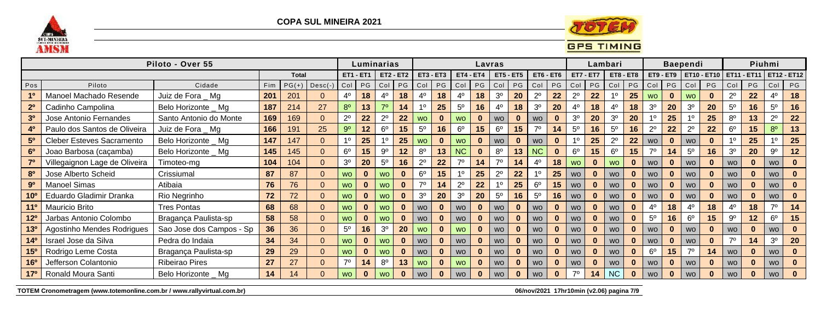

**COPA SUL MINEIRA 2021** 



## **GPS TIMING**

|                 |                                  | Piloto - Over 55         |            |              |           |                |                  | Luminarias     |              |                |             |                  | Lavras   |                |                  |                |             |                  |          | Lambari        |              |                |              | <b>Baependi</b> |           |                |           | Piuhmi         |                                                     |
|-----------------|----------------------------------|--------------------------|------------|--------------|-----------|----------------|------------------|----------------|--------------|----------------|-------------|------------------|----------|----------------|------------------|----------------|-------------|------------------|----------|----------------|--------------|----------------|--------------|-----------------|-----------|----------------|-----------|----------------|-----------------------------------------------------|
|                 |                                  |                          |            | <b>Total</b> |           |                | <b>ET1 - ET1</b> | $ET2 - ET2$    |              |                | $ET3 - ET3$ | <b>ET4 - ET4</b> |          |                | <b>ET5 - ET5</b> |                | $ET6 - ET6$ | <b>ET7 - ET7</b> |          | ET8 - ET8      |              |                |              |                 |           |                |           |                | ET9 - ET9   ET10 - ET10   ET11 - ET11   ET12 - ET12 |
| Pos             | Piloto                           | Cidade                   | <b>Fim</b> | $PG(+)$      | $Desc(-)$ | Col            | PG               | $ $ Col        | PG           | Col            | PG          | Col              | PG       | Col            | PG               | Col            | PG          | Col              | PG       | Col            | PG           | Col            | PG           | Col             | <b>PG</b> | Col            | <b>PG</b> | Col            | <b>PG</b>                                           |
|                 | Manoel Machado Resende           | Juiz de Fora _ Mg        | 201        | 201          |           | 4º             | 18               |                | 18           | 4 <sup>0</sup> | 18          | 4°               | 18       | 3 <sup>o</sup> | 20               | $2^{\circ}$    | 22          | $2^{\circ}$      | 22       |                | 25           | <b>WO</b>      | $\bf{0}$     | <b>WO</b>       |           | $2^{\circ}$    | 22        | $4^{\circ}$    | 18                                                  |
| 2 <sup>0</sup>  | Cadinho Campolina                | Belo Horizonte _ Mg      | 187        | 214          | 27        | $8^{\circ}$    | 13               | $70^{\circ}$   | 14           | 10             | 25          | $5^{\circ}$      | 16       | $4^{\circ}$    | 18               | 3 <sup>o</sup> | <b>20</b>   | $4^{\circ}$      | 18       | $4^{\circ}$    | 18           | 3 <sup>o</sup> | 20           | 3 <sup>o</sup>  | 20        | $5^{\circ}$    | 16        | $5^{\circ}$    | 16                                                  |
| 3 <sup>0</sup>  | Jose Antonio Fernandes           | Santo Antonio do Monte   | 169        | 169          |           | $2^{\circ}$    | 22               | $2^{\circ}$    | 22           | <b>WO</b>      | $\bf{0}$    | WO               | $\bf{0}$ | <b>WO</b>      | $\bf{0}$         | <b>WO</b>      |             | 3 <sup>o</sup>   | 20       | 3 <sup>o</sup> | 20           |                | 25           |                 | 25        | $8^{\circ}$    | 13        | $2^{\circ}$    | 22                                                  |
|                 | Paulo dos Santos de Oliveira     | Juiz de Fora _ Mg        | 166        | 91           | 25        | $9^{\circ}$    | 12               | 6 <sup>o</sup> | 15           | $5^{\circ}$    | 16          | $6^{\circ}$      | 15       | $6^{\circ}$    | 15               | 70             | 14          | $5^{\circ}$      | 16       | $5^{\circ}$    | 16           | $2^{\circ}$    | 22           |                 | 22        | $6^{\circ}$    | 15        | $8^{\circ}$    | 13                                                  |
| 5 <sup>0</sup>  | <b>Cleber Esteves Sacramento</b> | Belo Horizonte _ Mg      | 147        | 147          |           | 10             | 25               |                | 25           | <b>WO</b>      | $\bf{0}$    | <b>WO</b>        | $\bf{0}$ | <b>WO</b>      | $\bf{0}$         | <b>WO</b>      |             |                  | 25       | $2^{\circ}$    | 22           | <b>WO</b>      | $\mathbf{0}$ | <b>WO</b>       |           |                | 25        |                | 25                                                  |
| 6 <sup>o</sup>  | Joao Barbosa (caçamba)           | Belo Horizonte _ Mg      | 145        | 45           |           | $6^{\circ}$    | 15               | $9^{\circ}$    | 12           | $8^{\circ}$    | 13          | <b>NC</b>        | $\bf{0}$ | $8^{\circ}$    | 13               | <b>NC</b>      |             | 6 <sup>o</sup>   | 15       | $6^{\circ}$    | 15           | 70             | 14           | $5^{\circ}$     | 16        | 3 <sup>o</sup> | 20        | $9^{\circ}$    | $12 \,$                                             |
|                 | Villegaignon Lage de Oliveira    | Timoteo-mg               | 104        | 04           |           | 3 <sup>o</sup> | 20               | 5 <sup>0</sup> | 16           | $2^{\circ}$    | 22          |                  | 14       | 70             | 14               | 4 <sup>0</sup> | 18          | <b>WO</b>        |          | <b>WO</b>      | $\mathbf{0}$ | <b>WO</b>      | $\bf{0}$     | <b>WO</b>       |           | <b>WO</b>      |           | <b>WO</b>      |                                                     |
| 80              | Jose Alberto Scheid              | Crissiumal               | 87         | 87           |           | <b>WO</b>      |                  | <b>WO</b>      | $\bf{0}$     | $6^{\circ}$    | 15          |                  | 25       | $2^{\circ}$    | 22               |                | 25          | <b>WO</b>        |          | <b>WO</b>      | $\bf{0}$     | <b>WO</b>      | $\bf{0}$     | <b>WO</b>       |           | <b>WO</b>      |           | <b>WO</b>      |                                                     |
| 9 <sup>o</sup>  | <b>Manoel Simas</b>              | Atibaia                  | 76         | 76           |           | <b>WO</b>      |                  | <b>WO</b>      |              | 70             | 14          | $2^{\circ}$      | 22       |                | 25               | 6 <sup>o</sup> | 15          | <b>WO</b>        |          | <b>WO</b>      | $\bf{0}$     | <b>WO</b>      | $\bf{0}$     | <b>WO</b>       |           | <b>WO</b>      |           | <b>WO</b>      |                                                     |
| 10 <sup>o</sup> | Eduardo Gladimir Dranka          | Rio Negrinho             | 72         | 72           |           | <b>WO</b>      |                  | <b>WO</b>      | $\bf{0}$     | 3 <sup>o</sup> | 20          | 3 <sup>o</sup>   | 20       | $5^{\circ}$    | 16               | 5 <sup>0</sup> | 16          | <b>WO</b>        |          | <b>WO</b>      | $\bf{0}$     | <b>WO</b>      | $\bf{0}$     | <b>WO</b>       |           | <b>WO</b>      |           | <b>WO</b>      |                                                     |
| $11^{\circ}$    | Mauricio Brito                   | <b>Tres Pontas</b>       | 68         | 68           |           | <b>WO</b>      |                  | <b>WO</b>      | $\bf{0}$     | <b>WO</b>      | $\bf{0}$    | <b>WO</b>        | $\bf{0}$ | <b>WO</b>      | $\bf{0}$         | <b>WO</b>      |             | <b>WO</b>        |          | <b>WO</b>      | $\bf{0}$     | $4^{\circ}$    | 18           | $4^{\circ}$     | 18        | 4º             | 18        | 70             | 14                                                  |
| 12 <sup>o</sup> | Jarbas Antonio Colombo           | Bragança Paulista-sp     | 58         | 58           |           | <b>WO</b>      |                  | <b>WO</b>      | $\mathbf{0}$ | <b>WO</b>      | $\bf{0}$    | <b>WO</b>        | $\bf{0}$ | <b>WO</b>      | $\bf{0}$         | <b>WO</b>      |             | <b>WO</b>        |          | <b>WO</b>      |              | 5 <sup>0</sup> | 16           | $6^{\circ}$     | 15        | $9^{\circ}$    | 12        | $6^{\circ}$    | 15                                                  |
|                 | Agostinho Mendes Rodrigues       | Sao Jose dos Campos - Sp | 36         | 36           |           | $5^{\circ}$    | 16               | 3 <sup>o</sup> | 20           | <b>WO</b>      | $\bf{0}$    | <b>WO</b>        | $\bf{0}$ | <b>WO</b>      | $\bf{0}$         | <b>WO</b>      |             | <b>WO</b>        | $\bf{0}$ | <b>WO</b>      |              | <b>WO</b>      | $\mathbf{0}$ | <b>WO</b>       |           | <b>WO</b>      |           | <b>WO</b>      |                                                     |
| 14 <sup>0</sup> | Israel Jose da Silva             | Pedra do Indaia          | 34         | 34           |           | <b>WO</b>      |                  | <b>WO</b>      | $\mathbf{0}$ | <b>WO</b>      | $\bf{0}$    | <b>WO</b>        | $\bf{0}$ | <b>WO</b>      | $\bf{0}$         | <b>WO</b>      | $\bf{0}$    | <b>WO</b>        |          | <b>WO</b>      | $\bf{0}$     | <b>WO</b>      | $\mathbf{0}$ | <b>WO</b>       |           | 70             | 14        | 3 <sup>o</sup> | 20                                                  |
| 15 <sup>o</sup> | Rodrigo Leme Costa               | Bragança Paulista-sp     | 29         | 29           |           | <b>WO</b>      |                  | wo             |              | <b>WO</b>      |             | <b>WO</b>        | 0        | <b>WO</b>      |                  | <b>WO</b>      |             | <b>WO</b>        |          | <b>WO</b>      |              | 6 <sup>o</sup> | 15           | 70              | 14        | <b>WO</b>      |           | <b>WO</b>      |                                                     |
| 16 <sup>o</sup> | Jefferson Colantonio             | <b>Ribeirao Pires</b>    | 27         | 27           |           | 70             | 14               | 8 <sup>0</sup> | 13           | <b>WO</b>      |             | WO               | $\bf{0}$ | <b>WO</b>      |                  | <b>WO</b>      |             | <b>WO</b>        |          | <b>WO</b>      |              | <b>WO</b>      | $\bf{0}$     | <b>WO</b>       |           | <b>WO</b>      |           | <b>WO</b>      |                                                     |
| 17 <sup>o</sup> | Ronald Moura Santi               | Belo Horizonte _ Mg      | 14         | 14           |           | <b>WO</b>      |                  | <b>WO</b>      | $\bf{0}$     | <b>WO</b>      |             | <b>WO</b>        | $\bf{0}$ | <b>WO</b>      |                  | <b>WO</b>      |             | 70               | 14       | <b>NC</b>      |              | <b>WO</b>      | $\bf{0}$     | <b>WO</b>       |           | <b>WO</b>      |           | <b>WO</b>      |                                                     |

TOTEM Cronometragem (www.totemonline.com.br / www.rallyvirtual.com.br)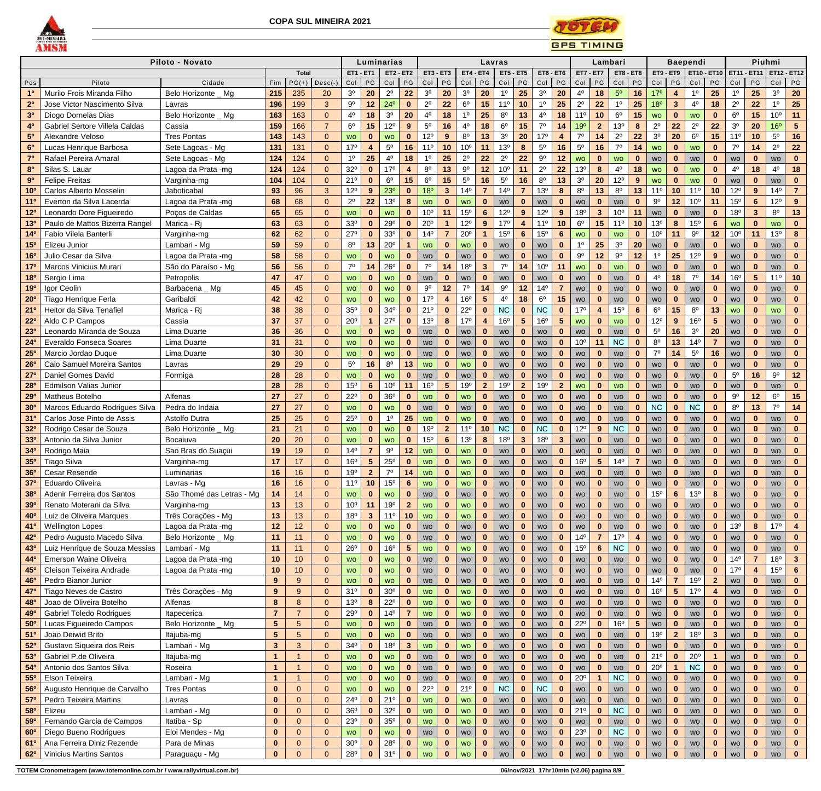



|                       |                                 | Piloto - Novato           |                 |                |                |                  |                         | Luminarias      |                  |                          |                         |                 |                         | Lavras           |                         |                  |                  |                  | Lambari                 |                  |                         |                 |                         | <b>Baependi</b>       |                |                 |                | Piuhmi          |                         |
|-----------------------|---------------------------------|---------------------------|-----------------|----------------|----------------|------------------|-------------------------|-----------------|------------------|--------------------------|-------------------------|-----------------|-------------------------|------------------|-------------------------|------------------|------------------|------------------|-------------------------|------------------|-------------------------|-----------------|-------------------------|-----------------------|----------------|-----------------|----------------|-----------------|-------------------------|
|                       |                                 |                           |                 | <b>Total</b>   |                | <b>ET1 - ET1</b> |                         |                 | <b>ET2 - ET2</b> | <b>ET3 - ET3</b>         |                         | ET4             | ET4                     | <b>ET5 - ET5</b> |                         | <b>ET6 - ET6</b> |                  | <b>ET7 - ET7</b> |                         | <b>ET8 - ET8</b> |                         | ET9 - ET9       |                         | <b>ET10 - ET10</b>    |                | ET11 -          | <b>ET11</b>    |                 | <b>ET12 - ET12</b>      |
| Pos                   | Piloto                          | Cidade                    | Fim             | $PG(+)$        | $Desc(-)$      | Col              | PG                      | Col             | PG               | Col                      | PG                      | Col             | PG                      | Col              | PG                      | Col              | PG               | Col              | PG                      | Col              | PG                      | Col             | PG                      | Col                   | PG             | Col             | PG             | Col             | <b>PG</b>               |
| 1 <sup>0</sup>        | Murilo Frois Miranda Filho      | Belo Horizonte _ Mg       | 215             | 235            | 20             | $3o$             | 20                      | $2^{\circ}$     | 22               | 3 <sup>o</sup>           | 20                      | $3^{\rm o}$     | 20                      | 1 <sup>0</sup>   | 25                      | 3 <sup>o</sup>   | 20               | 4 <sup>0</sup>   | 18                      | $5^{\circ}$      | 16                      | 17 <sup>o</sup> | $\overline{4}$          | 1 <sup>0</sup>        | 25             | 1 <sup>0</sup>  | 25             | $3o$            | 20                      |
| 2 <sup>0</sup>        | Jose Victor Nascimento Silva    | Lavras                    | 196             | 199            | 3 <sup>1</sup> | $9^{\rm o}$      | 12 <sub>2</sub>         | $24^{\circ}$    | $\bf{0}$         | $2^{\circ}$              | 22                      | $6^{\circ}$     | 15                      | 11 <sup>°</sup>  | 10                      | $1^{\circ}$      | 25               | $2^{\circ}$      | 22                      | 1 <sup>0</sup>   | 25                      | 18 <sup>o</sup> | $\mathbf{3}$            | $4^{\circ}$           | 18             | $2^{\circ}$     | 22             | 10              | 25                      |
| 3 <sup>0</sup>        | Diogo Dornelas Dias             | Belo Horizonte _ Mg       | 163             | 163            | $\Omega$       | $4^{\circ}$      | 18                      | 3 <sup>o</sup>  | 20               | $4^{\circ}$              | 18                      | $1^{\circ}$     | 25                      | $8^{\circ}$      | 13                      | $4^{\circ}$      | 18               | 11 <sup>0</sup>  | 10                      | $6^{\circ}$      | 15                      | <b>WO</b>       | $\bf{0}$                | <b>WO</b>             | $\mathbf{0}$   | $6^{\circ}$     | 15             | 10 <sup>o</sup> | 11                      |
| 4 <sup>0</sup>        | Gabriel Sertore Villela Caldas  | Cassia                    | 159             | 166            | $\overline{7}$ | 6 <sup>o</sup>   | 15                      | $12^{\circ}$    | 9                | $5^{\circ}$              | 16                      | $4^{\circ}$     | 18                      | $6^{\rm o}$      | 15                      | $7^\circ$        | 14               | 19°              | 2 <sup>2</sup>          | 13 <sup>o</sup>  | 8                       | $2^{\circ}$     | 22                      | $2^{\circ}$           | 22             | 3 <sup>0</sup>  | 20             | 16 <sup>o</sup> | $\sqrt{5}$              |
| 5 <sup>0</sup>        | Alexandre Veloso                | <b>Tres Pontas</b>        | 143             | 143            | $\Omega$       | <b>WO</b>        | $\mathbf{0}$            | <b>WO</b>       | $\bf{0}$         | $12^{\circ}$             | 9                       | $8^{\circ}$     | 13                      | 3 <sup>o</sup>   | 20                      | 17 <sup>°</sup>  | $\overline{4}$   | 70               | 14                      | $2^{\circ}$      | 22                      | 3 <sup>o</sup>  | 20                      | $6^{\rm o}$           | 15             | 11 <sup>°</sup> | 10             | $5^{\rm o}$     | 16                      |
| 6 <sup>o</sup>        | Lucas Henrique Barbosa          | Sete Lagoas - Mg          | 131             | 131            | $\overline{0}$ | 17 <sup>°</sup>  | $\overline{\mathbf{4}}$ | $5^{\circ}$     | 16               | 11 <sup>°</sup>          | 10                      | 10 <sup>o</sup> | 11                      | 13°              | 8                       | $5^{\circ}$      | 16               | $5^{\rm o}$      | 16                      | $7^\circ$        | 14                      | <b>WO</b>       | $\mathbf{0}$            | <b>WO</b>             | $\mathbf{0}$   | $7^\circ$       | 14             | $2^{\circ}$     | 22                      |
| 7 <sup>0</sup>        | Rafael Pereira Amaral           | Sete Lagoas - Mg          | 124             | 124            | $\Omega$       | 1 <sup>0</sup>   | 25                      | $4^{\circ}$     | 18               | 10                       | 25                      | $2^{\circ}$     | 22                      | $2^{\circ}$      | 22                      | $9^{\circ}$      | 12               | <b>WO</b>        | $\mathbf{0}$            | <b>WO</b>        | $\bf{0}$                | <b>WO</b>       | $\bf{0}$                | <b>WO</b>             | $\mathbf{0}$   | WO              | 0              | <b>WO</b>       |                         |
| 80                    | Silas S. Lauar                  | Lagoa da Prata -mg        | 124             | 124            | $\Omega$       | $32^{\circ}$     | $\mathbf{0}$            | 17 <sup>°</sup> |                  | $8^{\circ}$              | 13                      | $9^{\circ}$     | 12                      | 10 <sup>o</sup>  | 11                      | $2^{\circ}$      | 22               | 13 <sup>o</sup>  | 8                       | 4 <sup>0</sup>   | 18                      | <b>WO</b>       | $\bf{0}$                | <b>WO</b>             | $\mathbf{0}$   | $4^{\circ}$     | 18             | $4^{\circ}$     | 18                      |
| 9 <sup>0</sup>        | <b>Felipe Freitas</b>           | Varginha-mg               | 104             | 104            | $\Omega$       | 21°              | $\mathbf{0}$            | $6^{\circ}$     | 15               | $6^{\circ}$              | 15                      | $5^{\rm o}$     | 16                      | $5^{\circ}$      | 16                      | $8^{\circ}$      | 13               | 3 <sup>o</sup>   | 20                      | $12^{\circ}$     | 9                       | <b>WO</b>       | $\mathbf{0}$            | <b>WO</b>             | $\mathbf{0}$   | WO              | $\mathbf{0}$   | <b>WO</b>       | $\mathbf{0}$            |
| 10 <sup>o</sup>       | Carlos Alberto Mosselin         | Jaboticabal               | 93              | 96             | 3              | $12^{\circ}$     | 9                       | 23 <sup>o</sup> | $\bf{0}$         | 18 <sup>o</sup>          | $3\overline{3}$         | 14 <sup>°</sup> | $\overline{7}$          | 14 <sup>°</sup>  |                         | 13 <sup>o</sup>  | $\boldsymbol{8}$ | $8^{\circ}$      | 13                      | $8^{\circ}$      | 13                      | $11^{\circ}$    | 10                      | 11 <sup>°</sup>       | 10             | $12^{\circ}$    | $9^{\circ}$    | 14 <sup>°</sup> |                         |
| $11^{\circ}$          | Everton da Silva Lacerda        | Lagoa da Prata -mg        | 68              | 68             | $\Omega$       | $2^{\circ}$      | 22                      | 13 <sup>°</sup> |                  | <b>WO</b>                | $\bf{0}$                | <b>WO</b>       | $\mathbf{0}$            | WO               | $\bf{0}$                | WO               | $\bf{0}$         | WO               | $\bf{0}$                | <b>WO</b>        | $\bf{0}$                | $9^{\circ}$     | 12                      | 10 <sup>o</sup>       | 11             | 15 <sup>o</sup> | 6              | $12^{\circ}$    |                         |
| 12 <sup>o</sup>       | Leonardo Dore Figueiredo        | Poços de Caldas           | 65              | 65             | $\Omega$       | <b>WO</b>        | $\mathbf{0}$            | <b>WO</b>       |                  | 10 <sup>o</sup>          | 11                      | 15 <sup>o</sup> | $6\phantom{1}$          | $12^{\circ}$     | 9                       | $12^{\circ}$     | 9                | 18 <sup>o</sup>  | 3 <sup>5</sup>          | 10 <sup>o</sup>  | 11                      | <b>WO</b>       | $\mathbf 0$             | <b>WO</b>             | $\mathbf{0}$   | 18 <sup>o</sup> | 3 <sup>5</sup> | $8^{\circ}$     | 13                      |
| 13 <sup>0</sup>       | Paulo de Mattos Bizerra Rangel  | Marica - Rj               | 63              | 63             | $\Omega$       | 33 <sup>o</sup>  | $\mathbf{0}$            | 29°             |                  | $20^{\circ}$             |                         | $12^{\circ}$    | $9^{\circ}$             | 17 <sup>°</sup>  |                         | 11 <sup>0</sup>  | 10               | 6 <sup>o</sup>   | 15                      | $11^{\circ}$     | 10                      | 13 <sup>o</sup> | 8                       | 15 <sup>o</sup>       | $6\phantom{1}$ | <b>WO</b>       | $\bf{0}$       | <b>WO</b>       |                         |
| 14 <sup>0</sup>       | Fabio Vilela Banterli           | Varginha-mg               | 62              | 62             | $\overline{0}$ | $27^\circ$       | $\mathbf{0}$            | 33 <sup>o</sup> |                  | $14^{\circ}$             | $\overline{7}$          | $20^{\circ}$    |                         | 15 <sup>o</sup>  | $6\phantom{1}6$         | 15 <sup>o</sup>  | $6\phantom{1}6$  | <b>WO</b>        | $\mathbf{0}$            | <b>WO</b>        | $\bf{0}$                | 10 <sup>o</sup> | 11                      | $9^{\rm o}$           | 12             | 10 <sup>o</sup> | 11             | 13 <sup>o</sup> |                         |
| 15 <sup>o</sup>       | Elizeu Junior                   | Lambari - Mg              | 59              | 59             | $\Omega$       | $8^{\circ}$      | 13                      | $20^{\circ}$    |                  | <b>WO</b>                | $\bf{0}$                | <b>WO</b>       | $\bf{0}$                | WO               | $\Omega$                | WO               | $\mathbf 0$      | 1 <sup>0</sup>   | 25                      | 3 <sup>o</sup>   | 20                      | <b>WO</b>       | $\bf{0}$                | WO                    | $\mathbf{0}$   | WO              | $\mathbf{0}$   | <b>WO</b>       |                         |
| 16 <sup>o</sup>       | Julio Cesar da Silva            | Lagoa da Prata -mg        | 58              | 58             | 0              | <b>WO</b>        | $\mathbf{0}$            | <b>WO</b>       |                  | <b>WO</b>                | $\bf{0}$                | <b>WO</b>       | $\bf{0}$                | WO               | $\Omega$                | <b>WO</b>        | $\bf{0}$         | $9^{\circ}$      | 12                      | $9^{\circ}$      | 12                      | $1^{\circ}$     | 25                      | $12^{\circ}$          | 9              | WO              | 0              | WO              |                         |
| 17 <sup>o</sup>       | <b>Marcos Vinicius Murari</b>   | São do Paraíso - Mg       | 56              | 56             | $\Omega$       | $7^{\circ}$      | 14                      | $26^{\circ}$    |                  | $7^\circ$                | 14                      | 18 <sup>o</sup> | 3 <sup>1</sup>          | 7 <sup>0</sup>   | 14                      | 10 <sup>o</sup>  | 11               | <b>WO</b>        | $\mathbf{0}$            | <b>WO</b>        | $\mathbf{0}$            | <b>WO</b>       | $\mathbf{0}$            | <b>WO</b>             | $\mathbf{0}$   | WO              | $\bf{0}$       | <b>WO</b>       | $\bf{0}$                |
| <b>18º</b>            | Sergio Lima                     | Petropolis                | 47              | 47             | $\Omega$       | <b>WO</b>        | $\mathbf{0}$            | <b>WO</b>       |                  | <b>WO</b>                | 0                       | <b>WO</b>       | $\bf{0}$                | <b>WO</b>        | $\Omega$                | <b>WO</b>        | $\mathbf 0$      | <b>WO</b>        | $\mathbf{0}$            | <b>WO</b>        | $\mathbf{0}$            | 4 <sup>0</sup>  | 18                      | $7^{\circ}$           | 14             | 16 <sup>o</sup> | 5              | 11 <sup>°</sup> | 10                      |
| <b>19<sup>°</sup></b> | Igor Ceolin                     | Barbacena _ Mg            | 45              | 45             | 0              | <b>WO</b>        | $\mathbf{0}$            | <b>WO</b>       |                  | $9^{\rm o}$              | 12                      | $7^\circ$       | 14                      | $9^{\circ}$      | 12                      | 14 <sup>°</sup>  |                  | WO               | $\mathbf{0}$            | <b>WO</b>        | $\bf{0}$                | WO              | $\bf{0}$                | <b>WO</b>             | $\mathbf{0}$   | WO              | 0              | WO              |                         |
| 20 <sup>o</sup>       | Tiago Henrique Ferla            | Garibaldi                 | 42              | 42             | $\Omega$       | <b>WO</b>        | $\mathbf{0}$            | <b>WO</b>       |                  | 17 <sup>°</sup>          | $\overline{4}$          | 16 <sup>o</sup> | 5 <sup>5</sup>          | $4^{\circ}$      | 18                      | $6^{\circ}$      | 15               | WO               | $\mathbf{0}$            | <b>WO</b>        | $\bf{0}$                | <b>WO</b>       | $\bf{0}$                | <b>WO</b>             | $\mathbf{0}$   | WO              | $\bf{0}$       | WO              |                         |
| 21 <sup>o</sup>       | Heitor da Silva Tenafiel        | Marica - Ri               | 38              | 38             | $\Omega$       | 35 <sup>o</sup>  | $\mathbf{0}$            | 34°             |                  | 21°                      | $\bf{0}$                | $22^{\circ}$    | $\mathbf{0}$            | <b>NC</b>        | $\bf{0}$                | <b>NC</b>        | $\mathbf{0}$     | 17 <sup>°</sup>  | $\overline{\mathbf{4}}$ | 15°              | $6\phantom{1}6$         | 6 <sup>o</sup>  | 15                      | $8^{\rm o}$           | 13             | <b>WO</b>       | $\mathbf{0}$   | <b>WO</b>       |                         |
| $22^{\circ}$          | Aldo C P Campos                 | Cassia                    | 37              | 37             | $\Omega$       | $20^{\circ}$     |                         | $27^\circ$      | $\bf{0}$         | 13 <sup>°</sup>          | 8                       | 17 <sup>°</sup> |                         | 16 <sup>o</sup>  | -5                      | 16 <sup>o</sup>  | $5\phantom{1}$   | <b>WO</b>        | $\mathbf{0}$            | <b>WO</b>        | $\bf{0}$                | $12^{\circ}$    | 9                       | 16 <sup>o</sup>       | 5 <sub>5</sub> | <b>WO</b>       | $\bf{0}$       | <b>WO</b>       | $\bf{0}$                |
| <b>23º</b>            | Leonardo Miranda de Souza       | Lima Duarte               | 36              | 36             | 0              | <b>WO</b>        | $\mathbf{0}$            | <b>WO</b>       |                  | <b>WO</b>                | $\mathbf{0}$            | <b>WO</b>       | $\mathbf{0}$            | WO               |                         | WO               | $\mathbf 0$      | WO               | $\mathbf{0}$            | <b>WO</b>        | $\bf{0}$                | $5^{\circ}$     | 16                      | $3^{\rm o}$           | 20             | WO              | 0              | WO              |                         |
| 24 <sup>o</sup>       | Everaldo Fonseca Soares         | Lima Duarte               | 31              | 31             | $\overline{0}$ | <b>WO</b>        | $\mathbf{0}$            | <b>WO</b>       |                  | <b>WO</b>                | $\bf{0}$                | <b>WO</b>       | $\bf{0}$                | WO               | $\bf{0}$                | <b>WO</b>        | $\mathbf 0$      | 10 <sup>o</sup>  | 11                      | <b>NC</b>        | $\bf{0}$                | 8 <sup>o</sup>  | 13                      | $14^{\circ}$          |                | WO              | $\bf{0}$       | WO              |                         |
| $25^{\circ}$          | Marcio Jordao Duque             | Lima Duarte               | 30              | 30             | $\Omega$       | <b>WO</b>        | $\mathbf{0}$            | <b>WO</b>       | $\bf{0}$         | <b>WO</b>                | $\bf{0}$                | <b>WO</b>       | $\mathbf{0}$            | WO               | $\bf{0}$                | <b>WO</b>        | $\mathbf 0$      | <b>WO</b>        | $\mathbf{0}$            | <b>WO</b>        | $\bf{0}$                | $7^{\circ}$     | 14                      | $5^{\rm o}$           | 16             | WO              | $\mathbf{0}$   | WO              | $\bf{0}$                |
| <b>26°</b>            | Caio Samuel Moreira Santos      | Lavras                    | 29              | 29             | $\overline{0}$ | $5^{\rm o}$      | 16                      | $8^{\circ}$     | 13               | <b>WO</b>                | $\bf{0}$                | <b>WO</b>       | $\mathbf{0}$            | WO               | $\bf{0}$                | <b>WO</b>        | $\mathbf 0$      | <b>WO</b>        | $\bf{0}$                | <b>WO</b>        | $\bf{0}$                | <b>WO</b>       | $\mathbf{0}$            | <b>WO</b>             | $\bf{0}$       | <b>WO</b>       | $\bf{0}$       | <b>WO</b>       |                         |
| $27^\circ$            | <b>Daniel Gomes David</b>       | Formiga                   | 28              | 28             | 0              | <b>WO</b>        | $\mathbf{0}$            | <b>WO</b>       |                  | <b>WO</b>                | $\bf{0}$                | WO              | $\mathbf{0}$            | <b>WO</b>        |                         | <b>WO</b>        | $\bf{0}$         | <b>WO</b>        | $\bf{0}$                | <b>WO</b>        | $\bf{0}$                | <b>WO</b>       | $\bf{0}$                | <b>WO</b>             | $\mathbf{0}$   | $5^{\circ}$     | 16             | $9^{\circ}$     | 12                      |
| <b>28°</b>            | <b>Edmilson Valias Junior</b>   |                           | 28              | 28             |                | 15 <sup>o</sup>  | $6\phantom{1}$          | 10 <sup>o</sup> | 11               | 16 <sup>o</sup>          | $5\phantom{.0}$         | 19 <sup>o</sup> | 2 <sup>2</sup>          | 19°              | $\overline{2}$          | 19 <sup>o</sup>  | $\overline{2}$   | <b>WO</b>        | $\bf{0}$                | <b>WO</b>        | $\bf{0}$                | <b>WO</b>       | $\bf{0}$                | <b>WO</b>             | $\bf{0}$       | WO              | 0              | <b>WO</b>       |                         |
| <b>29º</b>            | Matheus Botelho                 | Alfenas                   | 27              | 27             | $\Omega$       | $22^{\circ}$     | $\mathbf{0}$            | 36 <sup>o</sup> | $\bf{0}$         | <b>WO</b>                | $\bf{0}$                | <b>WO</b>       | $\bf{0}$                | <b>WO</b>        | $\bf{0}$                | <b>WO</b>        | $\mathbf{0}$     | WO.              | $\bf{0}$                | <b>WO</b>        | $\bf{0}$                | <b>WO</b>       | $\mathbf{0}$            | <b>WO</b>             | $\bf{0}$       | $9^{\circ}$     | 12             | 6 <sup>o</sup>  |                         |
| 30 <sup>o</sup>       | Marcos Eduardo Rodrigues Silva  | Pedra do Indaia           | 27              | 27             |                | <b>WO</b>        | $\mathbf{0}$            | <b>WO</b>       | $\bf{0}$         | WO                       | $\bf{0}$                | <b>WO</b>       | $\bf{0}$                | <b>WO</b>        | $\bf{0}$                | WO               | $\mathbf 0$      | <b>WO</b>        | $\mathbf{0}$            | WO               | $\bf{0}$                | <b>NC</b>       | $\mathbf{0}$            | <b>NC</b>             | $\mathbf{0}$   | $8^{\circ}$     | 13             | $7^\circ$       |                         |
| 31 <sup>o</sup>       | Carlos Jose Pinto de Assis      | Astolfo Dutra             | 25              | 25             | $\Omega$       | $25^{\circ}$     | $\mathbf{0}$            | 1 <sup>0</sup>  | 25               | <b>WO</b>                | $\mathbf{0}$            | <b>WO</b>       | $\bf{0}$                | <b>WO</b>        | $\mathbf{0}$            | <b>WO</b>        | $\mathbf{0}$     | <b>WO</b>        | $\mathbf{0}$            | <b>WO</b>        | $\bf{0}$                | <b>WO</b>       | $\bf{0}$                | <b>WO</b>             | $\mathbf{0}$   | WO              | $\bf{0}$       | WO              |                         |
| 32 <sup>o</sup>       | Rodrigo Cesar de Souza          | Belo Horizonte _ Mg       | 21              | 21             |                | <b>WO</b>        | $\mathbf{0}$            | <b>WO</b>       |                  | <b>19°</b>               | $\mathbf{2}$            | 11 <sup>°</sup> | 10                      | <b>NC</b>        |                         | <b>NC</b>        | $\bf{0}$         | $12^{\circ}$     | 9                       | <b>NC</b>        | $\bf{0}$                | <b>WO</b>       | $\bf{0}$                | <b>WO</b>             | $\bf{0}$       | WO              |                | WO              |                         |
| 330                   | Antonio da Silva Junior         | Bocaiuva                  | 20              | 20             | $\Omega$       | <b>WO</b>        | $\mathbf{0}$            | <b>WO</b>       |                  | 15 <sup>o</sup>          | $6\phantom{1}$          | 13 <sup>o</sup> | 8                       | 18 <sup>o</sup>  | $\mathbf{3}$            | 18 <sup>o</sup>  | $\mathbf{3}$     | <b>WO</b>        | $\mathbf{0}$            | <b>WO</b>        | $\bf{0}$                | <b>WO</b>       | $\bf{0}$                | <b>WO</b>             | $\mathbf{0}$   | WO              | $\mathbf{0}$   | <b>WO</b>       |                         |
| 34 <sup>0</sup>       | Rodrigo Maia                    | Sao Bras do Suaçui        | 19              | 19             | $\Omega$       | 14 <sup>°</sup>  | $\overline{7}$          | $9^{\circ}$     | 12               | <b>WO</b>                | $\bf{0}$                | <b>WO</b>       | $\bf{0}$                | <b>WO</b>        | $\Omega$                | <b>WO</b>        | $\bf{0}$         | <b>WO</b>        | $\bf{0}$                | <b>WO</b>        | $\bf{0}$                | <b>WO</b>       | $\mathbf{0}$            | <b>WO</b>             | $\mathbf{0}$   | <b>WO</b>       | $\mathbf{0}$   | <b>WO</b>       |                         |
| 35 <sup>o</sup>       | Tiago Silva                     | Varginha-mg               | 17              | 17             | $\Omega$       | 16 <sup>o</sup>  | 5 <sup>5</sup>          | $25^{\circ}$    |                  | <b>WO</b>                | $\bf{0}$                | <b>WO</b>       | $\mathbf{0}$            | WO               | $\Omega$                | WO               | $\mathbf{0}$     | 16 <sup>o</sup>  | 5 <sup>5</sup>          | $14^{\circ}$     |                         | WO              | $\bf{0}$                | <b>WO</b>             | $\mathbf{0}$   | WO              | 0              | WO              |                         |
| 36°                   | Cesar Resende                   | Luminarias                | 16              | 16             | $\Omega$       | 19 <sup>o</sup>  | 2 <sup>2</sup>          | 7 <sup>0</sup>  | 14               | <b>WO</b>                | $\mathbf{0}$            | <b>WO</b>       | $\mathbf{0}$            | WO               | $\mathbf{0}$            | <b>WO</b>        | $\mathbf 0$      | <b>WO</b>        | $\mathbf{0}$            | WO               | $\bf{0}$                | <b>WO</b>       | $\bf{0}$                | <b>WO</b>             | $\mathbf{0}$   | WO              | 0              | WO              |                         |
| 37 <sup>o</sup>       | Eduardo Oliveira                | Lavras - Mg               | 16              | 16             | $\Omega$       | 11 <sup>°</sup>  | 10                      | 15 <sup>o</sup> | 6                | <b>WO</b>                | $\bf{0}$                | <b>WO</b>       | $\bf{0}$                | <b>WO</b>        | $\Omega$                | <b>WO</b>        | $\mathbf 0$      | WO               | $\bf{0}$                | <b>WO</b>        | $\bf{0}$                | <b>WO</b>       | $\bf{0}$                | WO                    | $\bf{0}$       | WO              | 0              | WO.             |                         |
| 380                   | Adenir Ferreira dos Santos      | São Thomé das Letras - Mg | 14              | 14             | $\Omega$       | <b>WO</b>        | $\mathbf{0}$            | <b>WO</b>       | $\bf{0}$         | WO                       | $\bf{0}$                | <b>WO</b>       | $\mathbf{0}$            | <b>WO</b>        | $\bf{0}$                | <b>WO</b>        | $\mathbf 0$      | <b>WO</b>        | $\mathbf{0}$            | <b>WO</b>        | $\bf{0}$                | 15 <sup>o</sup> | $6\phantom{1}6$         | 13 <sup>°</sup>       | 8              | WO              | $\bf{0}$       | <b>WO</b>       |                         |
| <b>39°</b>            | Renato Moterani da Silva        | Varginha-mg               | 13              | 13             | $\Omega$       | 10 <sup>o</sup>  | 11                      | 19°             | $\mathbf{2}$     | <b>WO</b>                | $\mathbf{0}$            | <b>WO</b>       | $\mathbf{0}$            | <b>WO</b>        | $\Omega$                | WO               | $\mathbf 0$      | WO               | $\bf{0}$                | <b>WO</b>        | $\bf{0}$                | <b>WO</b>       | $\bf{0}$                | <b>WO</b>             | $\bf{0}$       | WO              | 0              | <b>WO</b>       |                         |
| 40 <sup>o</sup>       | Luiz de Oliveira Marques        | Três Corações - Mg        | 13              | 13             | $\Omega$       | 18 <sup>o</sup>  | 3 <sup>5</sup>          | 11 <sup>°</sup> | 10               | <b>WO</b>                | $\bf{0}$                | <b>WO</b>       | $\mathbf{0}$            | <b>WO</b>        | $\Omega$                | WO               | $\bf{0}$         | WO               | $\mathbf{0}$            | WO               | $\bf{0}$                | WO              | $\bf{0}$                | <b>WO</b>             | $\bf{0}$       | WO              | 0              | <b>WO</b>       |                         |
| 41 <sup>o</sup>       | <b>Wellington Lopes</b>         | Lagoa da Prata -mg        | 12              | 12             | $\Omega$       | <b>WO</b>        | $\mathbf{0}$            | <b>WO</b>       | $\bf{0}$         | <b>WO</b>                | $\bf{0}$                | <b>WO</b>       | $\mathbf{0}$            | <b>WO</b>        | $\mathbf{0}$            | WO               | $\mathbf{0}$     | <b>WO</b>        | $\mathbf{0}$            | <b>WO</b>        | $\bf{0}$                | <b>WO</b>       | $\bf{0}$                | <b>WO</b>             | $\mathbf{0}$   | 13 <sup>o</sup> | 8              | 17 <sup>°</sup> |                         |
| 42°                   | Pedro Augusto Macedo Silva      | Belo Horizonte _ Mg       | 11              | 11             | $\Omega$       | <b>WO</b>        | $\mathbf{0}$            | <b>WO</b>       | $\bf{0}$         | <b>WO</b>                | $\bf{0}$                | <b>WO</b>       | $\bf{0}$                | <b>WO</b>        | $\Omega$                | <b>WO</b>        | $\mathbf 0$      | 14 <sup>°</sup>  |                         | 17°              |                         | <b>WO</b>       | $\bf{0}$                | <b>WO</b>             | $\bf{0}$       | <b>WO</b>       | 0              | <b>WO</b>       |                         |
| 43 <sup>c</sup>       | Luiz Henrique de Souza Messias  | Lambari - Mg              | 11              | 11             | $\Omega$       | $26^{\circ}$     | $\mathbf{0}$            | 16 <sup>o</sup> |                  | <b>WO</b>                | $\bf{0}$                | <b>WO</b>       | $\mathbf{0}$            | <b>WO</b>        | $\bf{0}$                | WO               | $\bf{0}$         | 15 <sup>o</sup>  | $6\phantom{1}$          | <b>NC</b>        | $\bf{0}$                | <b>WO</b>       | $\bf{0}$                | <b>WO</b>             | $\bf{0}$       | WO              |                | <b>WO</b>       |                         |
| 44 <sup>o</sup>       | <b>Emerson Waine Oliveira</b>   | Lagoa da Prata -mg        | 10              | 10             | $\Omega$       | <b>WO</b>        | $\mathbf{0}$            | <b>WO</b>       |                  | <b>WO</b>                | $\bf{0}$                | <b>WO</b>       | $\mathbf{0}$            | WO               | $\bf{0}$                | <b>WO</b>        | $\mathbf 0$      | WO               | $\bf{0}$                | <b>WO</b>        | $\bf{0}$                | <b>WO</b>       | $\bf{0}$                | <b>WO</b>             | $\mathbf{0}$   | 14 <sup>°</sup> |                | 18 <sup>o</sup> |                         |
| 45°                   | Cleison Teixeira Andrade        | Lagoa da Prata -mg        | 10              | 10             | 0              | <b>WO</b>        | $\mathbf{0}$            | <b>WO</b>       | $\bf{0}$         | <b>WO</b>                | $\bf{0}$                | <b>WO</b>       | $\bf{0}$                | <b>WO</b>        | $\bf{0}$                | <b>WO</b>        | $\bf{0}$         | <b>WO</b>        | $\bf{0}$                | <b>WO</b>        | $\bf{0}$                | <b>WO</b>       | $\bf{0}$                | <b>WO</b>             | $\mathbf{0}$   | 17 <sup>°</sup> |                | 15 <sup>o</sup> |                         |
| 46°                   | Pedro Bianor Junior             |                           | 9               | 9              | $\Omega$       | <b>WO</b>        | $\mathbf{0}$            | <b>WO</b>       |                  | <b>WO</b>                | $\bf{0}$                | <b>WO</b>       | $\mathbf{0}$            | WO               | $\mathbf{0}$            | <b>WO</b>        | $\mathbf{0}$     | <b>WO</b>        | $\mathbf{0}$            | <b>WO</b>        | $\bf{0}$                | $14^{\circ}$    | $\overline{7}$          | 19 <sup>o</sup>       | 2 <sup>2</sup> | WO              | $\bf{0}$       | <b>WO</b>       |                         |
| 47°                   | Tiago Neves de Castro           | Três Corações - Mg        | $9^{\circ}$     | 9              | $\Omega$       | 31 <sup>o</sup>  | $\mathbf{0}$            | 30 <sup>o</sup> |                  | <b>WO</b>                | $\bf{0}$                | <b>WO</b>       | $\mathbf{0}$            | WO               |                         | WO               | $\mathbf 0$      | WO               | $\bf{0}$                | <b>WO</b>        | $\bf{0}$                | 16 <sup>o</sup> | $5\phantom{.0}$         | 17 <sup>°</sup>       |                | WO              |                | <b>WO</b>       |                         |
| 480                   | Joao de Oliveira Botelho        | Alfenas                   | 8               |                |                | 13 <sup>o</sup>  | 8                       | $22^{\circ}$    |                  | <b>WO</b>                | $\bf{0}$                | <b>WO</b>       | $\bf{0}$                | WO               | $\Omega$                | WO               | $\bf{0}$         | WO               | $\bf{0}$                | WO               | $\bf{0}$                | <b>WO</b>       | $\bf{0}$                | <b>WO</b>             | $\bf{0}$       | WO              |                | WO              |                         |
| 49 <sup>o</sup>       | <b>Gabriel Toledo Rodrigues</b> | Itapecerica               | $\overline{7}$  |                | $\Omega$       | 29°              | $\mathbf{0}$            | 14 <sup>°</sup> |                  | <b>WO</b>                | $\bf{0}$                | <b>WO</b>       | $\mathbf{0}$            | WO               | $\bf{0}$                | <b>WO</b>        | $\mathbf{0}$     | <b>WO</b>        | $\mathbf{0}$            | <b>WO</b>        | $\bf{0}$                | <b>WO</b>       | $\bf{0}$                | <b>WO</b>             | $\mathbf{0}$   | WO              | $\mathbf{0}$   | <b>WO</b>       |                         |
| 50 <sup>o</sup>       | Lucas Figueiredo Campos         | Belo Horizonte _ Mg       | $5\phantom{.0}$ | 5              | $\Omega$       | <b>WO</b>        | $\mathbf{0}$            | <b>WO</b>       |                  | <b>WO</b>                | $\bf{0}$                | <b>WO</b>       | $\bf{0}$                | <b>WO</b>        | $\Omega$                | <b>WO</b>        | $\mathbf 0$      | $22^{\circ}$     | $\mathbf{0}$            | 16°              | $\sqrt{5}$              | <b>WO</b>       | $\bf{0}$                | <b>WO</b>             | $\mathbf{0}$   | <b>WO</b>       | $\bf{0}$       | <b>WO</b>       |                         |
| 51°                   | Joao Deiwid Brito               | Itajuba-mg                | $5\phantom{.0}$ | 5              | $\Omega$       | <b>WO</b>        | $\mathbf{0}$            | <b>WO</b>       |                  | <b>WO</b>                | $\bf{0}$                | <b>WO</b>       | $\mathbf{0}$            | WO               | $\Omega$                | WO               | $\bf{0}$         | WO               | $\bf{0}$                | <b>WO</b>        | $\mathbf{0}$            | 19 <sup>o</sup> | $\mathbf{2}$            | 18 <sup>o</sup>       | $\mathbf{3}$   | WO              | 0              | WO              |                         |
| 52°                   | Gustavo Siqueira dos Reis       | Lambari - Mg              | $\mathbf{3}$    | 3              | $\Omega$       | 34 <sup>°</sup>  | $\mathbf{0}$            | 18 <sup>o</sup> | 3                | <b>WO</b>                | $\bf{0}$                | <b>WO</b>       | $\mathbf{0}$            | WO               | $\bf{0}$                | WO               | $\mathbf 0$      | WO               | $\mathbf{0}$            | WO               | $\bf{0}$                | <b>WO</b>       | $\bf{0}$                | <b>WO</b>             | $\mathbf{0}$   | WO              | 0              | WO              |                         |
| 530                   | Gabriel P.de Oliveira           | Itajuba-mg                |                 |                | $\Omega$       | <b>WO</b>        | $\mathbf{0}$            | <b>WO</b>       | $\bf{0}$         | <b>WO</b>                | $\bf{0}$                | <b>WO</b>       | $\bf{0}$                | <b>WO</b>        | $\bf{0}$                | <b>WO</b>        | $\mathbf 0$      | <b>WO</b>        | $\mathbf{0}$            | <b>WO</b>        | $\bf{0}$                | 21°             | $\bf{0}$                | $20^{\circ}$          |                | WO              | 0              | WO.             |                         |
| 54°                   | Antonio dos Santos Silva        | Roseira                   | $\mathbf 1$     |                | $\Omega$       | <b>WO</b>        | $\mathbf{0}$            | <b>WO</b>       |                  | <b>WO</b>                | $\bf{0}$                | <b>WO</b>       | $\mathbf{0}$            | <b>WO</b>        | $\bf{0}$                | <b>WO</b>        | $\mathbf{0}$     | <b>WO</b>        | $\mathbf{0}$            | <b>WO</b>        | $\bf{0}$                | $20^{\circ}$    |                         | <b>NC</b>             | $\mathbf{0}$   | WO              | $\bf{0}$       | <b>WO</b>       |                         |
| $55^{\circ}$          | Elson Teixeira                  | Lambari - Mg              | $\mathbf 1$     |                | $\Omega$       | <b>WO</b>        | $\mathbf{0}$            | <b>WO</b>       |                  | <b>WO</b>                | $\bf{0}$                | <b>WO</b>       | $\mathbf{0}$            | WO               |                         | <b>WO</b>        | $\mathbf{0}$     | $20^{\circ}$     |                         | <b>NC</b>        | $\bf{0}$                | <b>WO</b>       | $\bf{0}$                | <b>WO</b>             | $\mathbf{0}$   | WO              | 0              | WO              |                         |
| <b>56°</b>            | Augusto Henrique de Carvalho    | <b>Tres Pontas</b>        | $\bf{0}$        | $\Omega$       | 0              | <b>WO</b>        | $\mathbf{0}$            | <b>WO</b>       |                  | $22^{\circ}$             | $\bf{0}$                | 21°             | $\mathbf{0}$            | <b>NC</b>        | $\bf{0}$                | <b>NC</b>        | $\bf{0}$         | WO               | $\bf{0}$                | WO               | $\bf{0}$                | WO              | $\bf{0}$                | <b>WO</b>             | $\mathbf{0}$   | WO              | 0              | WO              |                         |
| 57 <sup>o</sup>       | <b>Pedro Teixeira Martins</b>   | Lavras                    | $\mathbf{0}$    | $\overline{0}$ | $\Omega$       | $24^{\circ}$     | $\mathbf{0}$            | 21°             | $\bf{0}$         | <b>WO</b>                | $\mathbf{0}$            | <b>WO</b>       | $\mathbf{0}$            | <b>WO</b>        | $\mathbf{0}$            | <b>WO</b>        | $\mathbf 0$      | <b>WO</b>        | $\mathbf{0}$            | <b>WO</b>        | $\mathbf{0}$            | <b>WO</b>       | $\bf{0}$                | <b>WO</b>             | $\mathbf{0}$   | WO              | $\bf{0}$       | WO              |                         |
| <b>58°</b>            | Elizeu                          | Lambari - Mg              | $\mathbf{0}$    | $\mathbf{0}$   |                | 36 <sup>o</sup>  | $\mathbf{0}$            | $32^{\circ}$    |                  | <b>WO</b>                | $\bf{0}$                | <b>WO</b>       | $\bf{0}$                | WO               | $\bf{0}$                | <b>WO</b>        | $\mathbf 0$      | 21°              | $\mathbf{0}$            | <b>NC</b>        | $\bf{0}$                | <b>WO</b>       | $\bf{0}$                | <b>WO</b>             | $\mathbf{0}$   | <b>WO</b>       | $\bf{0}$       | <b>WO</b>       |                         |
| 590                   | Fernando Garcia de Campos       | Itatiba - Sp              | $\bf{0}$        | $\Omega$       | 0              | 23 <sup>o</sup>  | $\mathbf{0}$            | $35^{\circ}$    |                  | <b>WO</b>                | $\bf{0}$                | <b>WO</b>       | $\mathbf{0}$            | <b>WO</b>        |                         | <b>WO</b>        | $\bf{0}$         | WO               | $\bf{0}$                | <b>WO</b>        | $\bf{0}$                | <b>WO</b>       | $\bf{0}$                | WO                    | $\mathbf{0}$   | WO              |                | <b>WO</b>       |                         |
| 60 <sup>o</sup>       | Diego Bueno Rodrigues           | Eloi Mendes - Mg          | $\bf{0}$        | $\overline{0}$ | 0              | <b>WO</b>        | $\mathbf{0}$            | <b>WO</b>       |                  | <b>WO</b>                | $\bf{0}$                | WO              | $\mathbf{0}$            | WO               |                         | WO               | $\bf{0}$         | $23^{\circ}$     |                         | <b>NC</b>        | $\bf{0}$                | <b>WO</b>       | $\bf{0}$                | <b>WO</b>             | $\bf{0}$       | WO              |                | <b>WO</b>       |                         |
|                       | 61º Ana Ferreira Diniz Rezende  | Para de Minas             | $\bf{0}$        |                |                | $30^\circ$       | $\vert$ 0               | $28^\circ$      |                  | 0   wo   0   wo   0   wo |                         |                 |                         |                  | $\mathbf{0}$            |                  |                  | wo   0   wo      |                         | 0   WO   0       |                         | WO              | $\mathbf{0}$            | $\sqrt{\frac{1}{10}}$ | $\mathbf{0}$   | WO              | $\mathbf{0}$   | WO              | $\bf{0}$                |
| 62°                   | <b>Vinicius Martins Santos</b>  | Paraguaçu - Mg            | $\mathbf{0}$    | $\overline{0}$ |                | 28°              | $\overline{\mathbf{0}}$ | $31^\circ$      | $\bullet$        | <b>WO</b>                | $\overline{\mathbf{0}}$ | $\mathsf{wo}$   | $\overline{\mathbf{0}}$ | wo               | $\overline{\mathbf{0}}$ | WO               | $\bullet$        | $ $ wo           | $\vert 0 \vert$         | wo               | $\overline{\mathbf{0}}$ | wo              | $\overline{\mathbf{0}}$ | <b>WO</b>             | $\mathbf{0}$   | WO              | $\mathbf{0}$   | wo              | $\overline{\mathbf{0}}$ |
|                       |                                 |                           |                 |                |                |                  |                         |                 |                  |                          |                         |                 |                         |                  |                         |                  |                  |                  |                         |                  |                         |                 |                         |                       |                |                 |                |                 |                         |